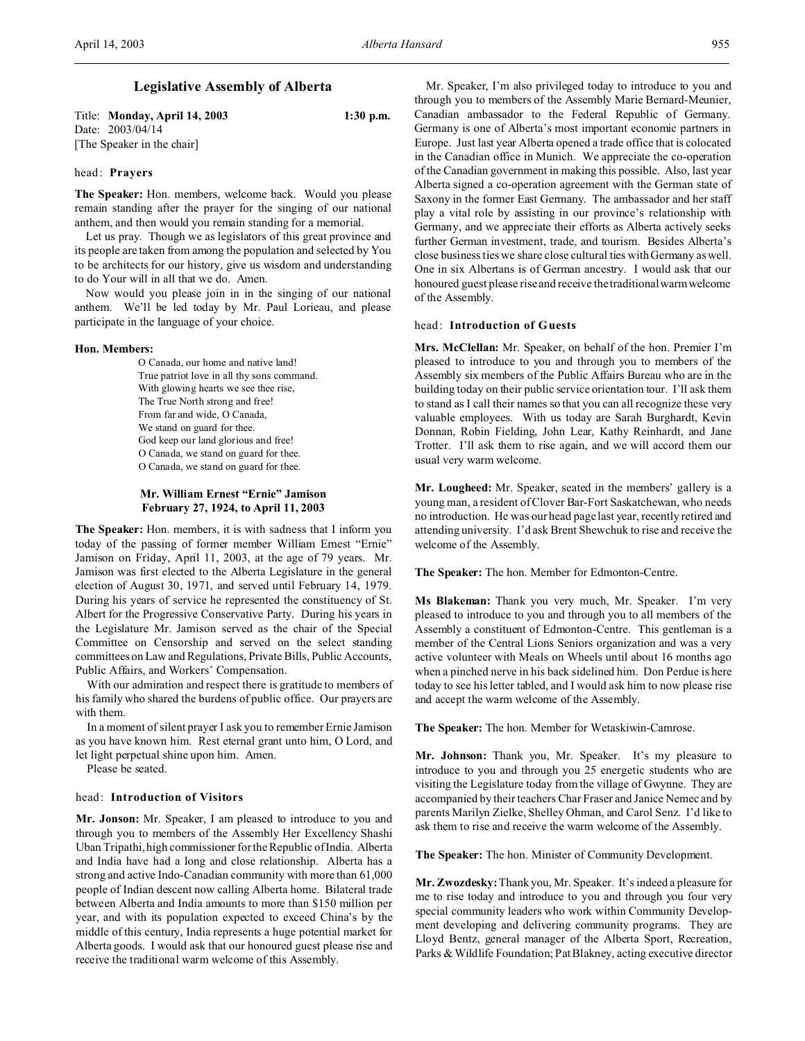# **Legislative Assembly of Alberta**

Title: **Monday, April 14, 2003 1:30 p.m.** Date: 2003/04/14 [The Speaker in the chair]

#### head: **Prayers**

**The Speaker:** Hon. members, welcome back. Would you please remain standing after the prayer for the singing of our national anthem, and then would you remain standing for a memorial.

Let us pray. Though we as legislators of this great province and its people are taken from among the population and selected by You to be architects for our history, give us wisdom and understanding to do Your will in all that we do. Amen.

Now would you please join in in the singing of our national anthem. We'll be led today by Mr. Paul Lorieau, and please participate in the language of your choice.

#### **Hon. Members:**

O Canada, our home and native land! True patriot love in all thy sons command. With glowing hearts we see thee rise, The True North strong and free! From far and wide, O Canada, We stand on guard for thee. God keep our land glorious and free! O Canada, we stand on guard for thee. O Canada, we stand on guard for thee.

# **Mr. William Ernest "Ernie" Jamison February 27, 1924, to April 11, 2003**

**The Speaker:** Hon. members, it is with sadness that I inform you today of the passing of former member William Ernest "Ernie" Jamison on Friday, April 11, 2003, at the age of 79 years. Mr. Jamison was first elected to the Alberta Legislature in the general election of August 30, 1971, and served until February 14, 1979. During his years of service he represented the constituency of St. Albert for the Progressive Conservative Party. During his years in the Legislature Mr. Jamison served as the chair of the Special Committee on Censorship and served on the select standing committees on Law and Regulations, Private Bills, Public Accounts, Public Affairs, and Workers' Compensation.

With our admiration and respect there is gratitude to members of his family who shared the burdens of public office. Our prayers are with them.

In a moment of silent prayer I ask you to remember Ernie Jamison as you have known him. Rest eternal grant unto him, O Lord, and let light perpetual shine upon him. Amen.

Please be seated.

#### head: **Introduction of Visitors**

**Mr. Jonson:** Mr. Speaker, I am pleased to introduce to you and through you to members of the Assembly Her Excellency Shashi Uban Tripathi, high commissioner for the Republic of India. Alberta and India have had a long and close relationship. Alberta has a strong and active Indo-Canadian community with more than 61,000 people of Indian descent now calling Alberta home. Bilateral trade between Alberta and India amounts to more than \$150 million per year, and with its population expected to exceed China's by the middle of this century, India represents a huge potential market for Alberta goods. I would ask that our honoured guest please rise and receive the traditional warm welcome of this Assembly.

Mr. Speaker, I'm also privileged today to introduce to you and through you to members of the Assembly Marie Bernard-Meunier, Canadian ambassador to the Federal Republic of Germany. Germany is one of Alberta's most important economic partners in Europe. Just last year Alberta opened a trade office that is colocated in the Canadian office in Munich. We appreciate the co-operation of the Canadian government in making this possible. Also, last year Alberta signed a co-operation agreement with the German state of Saxony in the former East Germany. The ambassador and her staff play a vital role by assisting in our province's relationship with Germany, and we appreciate their efforts as Alberta actively seeks further German investment, trade, and tourism. Besides Alberta's close business ties we share close cultural ties with Germany as well. One in six Albertans is of German ancestry. I would ask that our honoured guest please rise and receive the traditional warm welcome of the Assembly.

#### head: **Introduction of Guests**

**Mrs. McClellan:** Mr. Speaker, on behalf of the hon. Premier I'm pleased to introduce to you and through you to members of the Assembly six members of the Public Affairs Bureau who are in the building today on their public service orientation tour. I'll ask them to stand as I call their names so that you can all recognize these very valuable employees. With us today are Sarah Burghardt, Kevin Donnan, Robin Fielding, John Lear, Kathy Reinhardt, and Jane Trotter. I'll ask them to rise again, and we will accord them our usual very warm welcome.

**Mr. Lougheed:** Mr. Speaker, seated in the members' gallery is a young man, a resident of Clover Bar-Fort Saskatchewan, who needs no introduction. He was our head page last year, recently retired and attending university. I'd ask Brent Shewchuk to rise and receive the welcome of the Assembly.

**The Speaker:** The hon. Member for Edmonton-Centre.

**Ms Blakeman:** Thank you very much, Mr. Speaker. I'm very pleased to introduce to you and through you to all members of the Assembly a constituent of Edmonton-Centre. This gentleman is a member of the Central Lions Seniors organization and was a very active volunteer with Meals on Wheels until about 16 months ago when a pinched nerve in his back sidelined him. Don Perdue is here today to see his letter tabled, and I would ask him to now please rise and accept the warm welcome of the Assembly.

**The Speaker:** The hon. Member for Wetaskiwin-Camrose.

**Mr. Johnson:** Thank you, Mr. Speaker. It's my pleasure to introduce to you and through you 25 energetic students who are visiting the Legislature today from the village of Gwynne. They are accompanied by their teachers Char Fraser and Janice Nemec and by parents Marilyn Zielke, Shelley Ohman, and Carol Senz. I'd like to ask them to rise and receive the warm welcome of the Assembly.

**The Speaker:** The hon. Minister of Community Development.

**Mr. Zwozdesky:** Thank you, Mr. Speaker. It's indeed a pleasure for me to rise today and introduce to you and through you four very special community leaders who work within Community Development developing and delivering community programs. They are Lloyd Bentz, general manager of the Alberta Sport, Recreation, Parks & Wildlife Foundation; Pat Blakney, acting executive director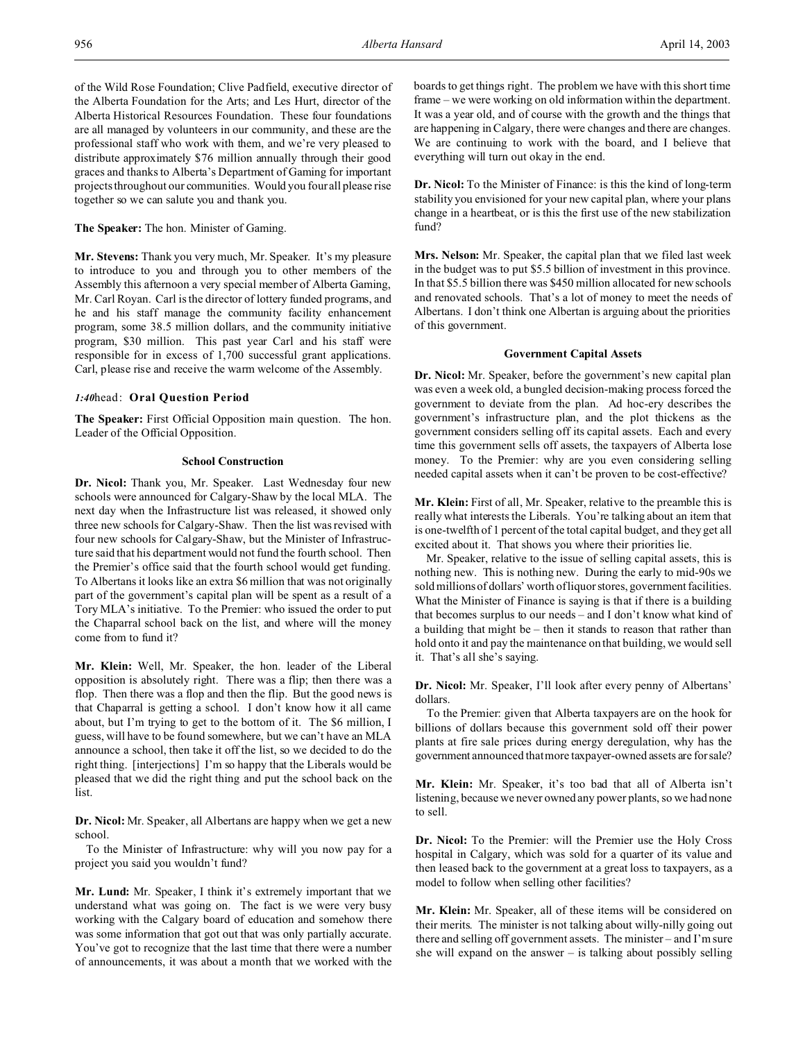of the Wild Rose Foundation; Clive Padfield, executive director of the Alberta Foundation for the Arts; and Les Hurt, director of the Alberta Historical Resources Foundation. These four foundations are all managed by volunteers in our community, and these are the professional staff who work with them, and we're very pleased to distribute approximately \$76 million annually through their good graces and thanks to Alberta's Department of Gaming for important projects throughout our communities. Would you four all please rise together so we can salute you and thank you.

**The Speaker:** The hon. Minister of Gaming.

**Mr. Stevens:** Thank you very much, Mr. Speaker. It's my pleasure to introduce to you and through you to other members of the Assembly this afternoon a very special member of Alberta Gaming, Mr. Carl Royan. Carl is the director of lottery funded programs, and he and his staff manage the community facility enhancement program, some 38.5 million dollars, and the community initiative program, \$30 million. This past year Carl and his staff were responsible for in excess of 1,700 successful grant applications. Carl, please rise and receive the warm welcome of the Assembly.

# *1:40*head: **Oral Question Period**

**The Speaker:** First Official Opposition main question. The hon. Leader of the Official Opposition.

# **School Construction**

**Dr. Nicol:** Thank you, Mr. Speaker. Last Wednesday four new schools were announced for Calgary-Shaw by the local MLA. The next day when the Infrastructure list was released, it showed only three new schools for Calgary-Shaw. Then the list was revised with four new schools for Calgary-Shaw, but the Minister of Infrastructure said that his department would not fund the fourth school. Then the Premier's office said that the fourth school would get funding. To Albertans it looks like an extra \$6 million that was not originally part of the government's capital plan will be spent as a result of a Tory MLA's initiative. To the Premier: who issued the order to put the Chaparral school back on the list, and where will the money come from to fund it?

**Mr. Klein:** Well, Mr. Speaker, the hon. leader of the Liberal opposition is absolutely right. There was a flip; then there was a flop. Then there was a flop and then the flip. But the good news is that Chaparral is getting a school. I don't know how it all came about, but I'm trying to get to the bottom of it. The \$6 million, I guess, will have to be found somewhere, but we can't have an MLA announce a school, then take it off the list, so we decided to do the right thing. [interjections] I'm so happy that the Liberals would be pleased that we did the right thing and put the school back on the list.

**Dr. Nicol:** Mr. Speaker, all Albertans are happy when we get a new school.

To the Minister of Infrastructure: why will you now pay for a project you said you wouldn't fund?

**Mr. Lund:** Mr. Speaker, I think it's extremely important that we understand what was going on. The fact is we were very busy working with the Calgary board of education and somehow there was some information that got out that was only partially accurate. You've got to recognize that the last time that there were a number of announcements, it was about a month that we worked with the

boards to get things right. The problem we have with this short time frame – we were working on old information within the department. It was a year old, and of course with the growth and the things that are happening in Calgary, there were changes and there are changes. We are continuing to work with the board, and I believe that everything will turn out okay in the end.

**Dr. Nicol:** To the Minister of Finance: is this the kind of long-term stability you envisioned for your new capital plan, where your plans change in a heartbeat, or is this the first use of the new stabilization fund?

**Mrs. Nelson:** Mr. Speaker, the capital plan that we filed last week in the budget was to put \$5.5 billion of investment in this province. In that \$5.5 billion there was \$450 million allocated for new schools and renovated schools. That's a lot of money to meet the needs of Albertans. I don't think one Albertan is arguing about the priorities of this government.

# **Government Capital Assets**

**Dr. Nicol:** Mr. Speaker, before the government's new capital plan was even a week old, a bungled decision-making process forced the government to deviate from the plan. Ad hoc-ery describes the government's infrastructure plan, and the plot thickens as the government considers selling off its capital assets. Each and every time this government sells off assets, the taxpayers of Alberta lose money. To the Premier: why are you even considering selling needed capital assets when it can't be proven to be cost-effective?

**Mr. Klein:** First of all, Mr. Speaker, relative to the preamble this is really what interests the Liberals. You're talking about an item that is one-twelfth of 1 percent of the total capital budget, and they get all excited about it. That shows you where their priorities lie.

Mr. Speaker, relative to the issue of selling capital assets, this is nothing new. This is nothing new. During the early to mid-90s we sold millions of dollars' worth of liquor stores, government facilities. What the Minister of Finance is saying is that if there is a building that becomes surplus to our needs – and I don't know what kind of a building that might be – then it stands to reason that rather than hold onto it and pay the maintenance on that building, we would sell it. That's all she's saying.

**Dr. Nicol:** Mr. Speaker, I'll look after every penny of Albertans' dollars.

To the Premier: given that Alberta taxpayers are on the hook for billions of dollars because this government sold off their power plants at fire sale prices during energy deregulation, why has the government announced that more taxpayer-owned assets are for sale?

**Mr. Klein:** Mr. Speaker, it's too bad that all of Alberta isn't listening, because we never owned any power plants, so we had none to sell.

**Dr. Nicol:** To the Premier: will the Premier use the Holy Cross hospital in Calgary, which was sold for a quarter of its value and then leased back to the government at a great loss to taxpayers, as a model to follow when selling other facilities?

**Mr. Klein:** Mr. Speaker, all of these items will be considered on their merits. The minister is not talking about willy-nilly going out there and selling off government assets. The minister – and I'm sure she will expand on the answer  $-$  is talking about possibly selling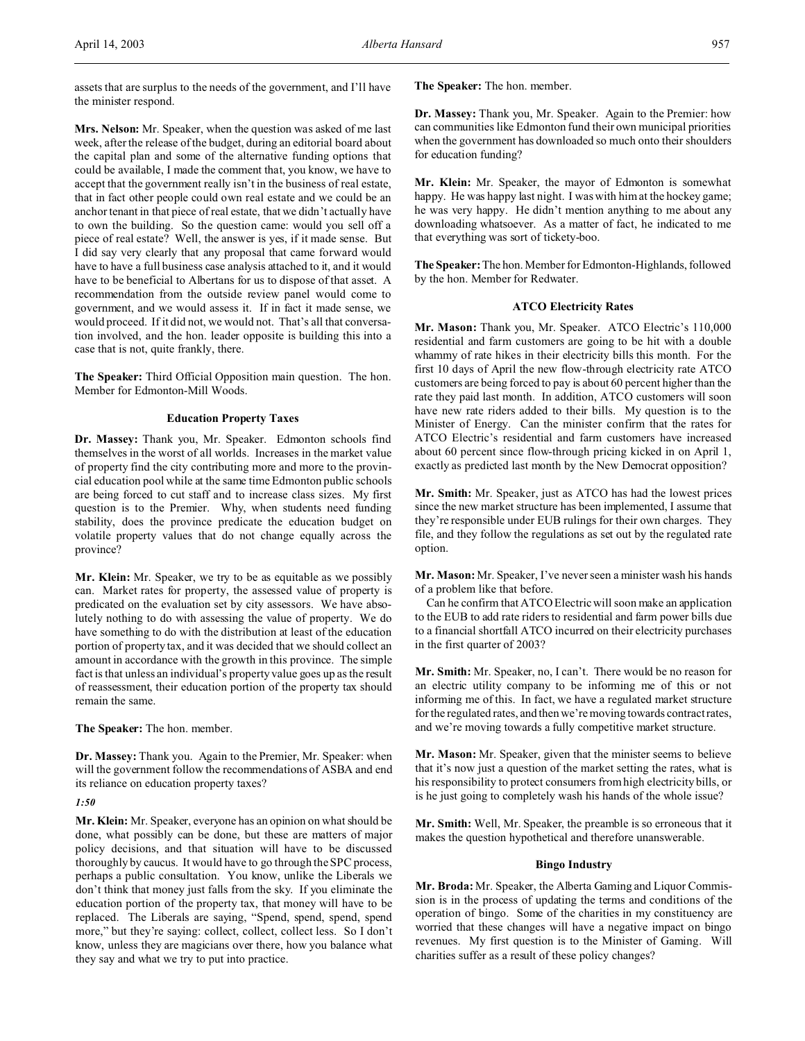assets that are surplus to the needs of the government, and I'll have the minister respond.

**Mrs. Nelson:** Mr. Speaker, when the question was asked of me last week, after the release of the budget, during an editorial board about the capital plan and some of the alternative funding options that could be available, I made the comment that, you know, we have to accept that the government really isn't in the business of real estate, that in fact other people could own real estate and we could be an anchor tenant in that piece of real estate, that we didn't actually have to own the building. So the question came: would you sell off a piece of real estate? Well, the answer is yes, if it made sense. But I did say very clearly that any proposal that came forward would have to have a full business case analysis attached to it, and it would have to be beneficial to Albertans for us to dispose of that asset. A recommendation from the outside review panel would come to government, and we would assess it. If in fact it made sense, we would proceed. If it did not, we would not. That's all that conversation involved, and the hon. leader opposite is building this into a case that is not, quite frankly, there.

**The Speaker:** Third Official Opposition main question. The hon. Member for Edmonton-Mill Woods.

# **Education Property Taxes**

**Dr. Massey:** Thank you, Mr. Speaker. Edmonton schools find themselves in the worst of all worlds. Increases in the market value of property find the city contributing more and more to the provincial education pool while at the same time Edmonton public schools are being forced to cut staff and to increase class sizes. My first question is to the Premier. Why, when students need funding stability, does the province predicate the education budget on volatile property values that do not change equally across the province?

**Mr. Klein:** Mr. Speaker, we try to be as equitable as we possibly can. Market rates for property, the assessed value of property is predicated on the evaluation set by city assessors. We have absolutely nothing to do with assessing the value of property. We do have something to do with the distribution at least of the education portion of property tax, and it was decided that we should collect an amount in accordance with the growth in this province. The simple fact is that unless an individual's property value goes up as the result of reassessment, their education portion of the property tax should remain the same.

**The Speaker:** The hon. member.

**Dr. Massey:** Thank you. Again to the Premier, Mr. Speaker: when will the government follow the recommendations of ASBA and end its reliance on education property taxes?

*1:50*

**Mr. Klein:** Mr. Speaker, everyone has an opinion on what should be done, what possibly can be done, but these are matters of major policy decisions, and that situation will have to be discussed thoroughly by caucus. It would have to go through the SPC process, perhaps a public consultation. You know, unlike the Liberals we don't think that money just falls from the sky. If you eliminate the education portion of the property tax, that money will have to be replaced. The Liberals are saying, "Spend, spend, spend, spend more," but they're saying: collect, collect, collect less. So I don't know, unless they are magicians over there, how you balance what they say and what we try to put into practice.

**The Speaker:** The hon. member.

**Dr. Massey:** Thank you, Mr. Speaker. Again to the Premier: how can communities like Edmonton fund their own municipal priorities when the government has downloaded so much onto their shoulders for education funding?

**Mr. Klein:** Mr. Speaker, the mayor of Edmonton is somewhat happy. He was happy last night. I was with him at the hockey game; he was very happy. He didn't mention anything to me about any downloading whatsoever. As a matter of fact, he indicated to me that everything was sort of tickety-boo.

**The Speaker:** The hon. Member for Edmonton-Highlands, followed by the hon. Member for Redwater.

# **ATCO Electricity Rates**

**Mr. Mason:** Thank you, Mr. Speaker. ATCO Electric's 110,000 residential and farm customers are going to be hit with a double whammy of rate hikes in their electricity bills this month. For the first 10 days of April the new flow-through electricity rate ATCO customers are being forced to pay is about 60 percent higher than the rate they paid last month. In addition, ATCO customers will soon have new rate riders added to their bills. My question is to the Minister of Energy. Can the minister confirm that the rates for ATCO Electric's residential and farm customers have increased about 60 percent since flow-through pricing kicked in on April 1, exactly as predicted last month by the New Democrat opposition?

**Mr. Smith:** Mr. Speaker, just as ATCO has had the lowest prices since the new market structure has been implemented, I assume that they're responsible under EUB rulings for their own charges. They file, and they follow the regulations as set out by the regulated rate option.

**Mr. Mason:** Mr. Speaker, I've never seen a minister wash his hands of a problem like that before.

Can he confirm that ATCO Electric will soon make an application to the EUB to add rate riders to residential and farm power bills due to a financial shortfall ATCO incurred on their electricity purchases in the first quarter of 2003?

**Mr. Smith:** Mr. Speaker, no, I can't. There would be no reason for an electric utility company to be informing me of this or not informing me of this. In fact, we have a regulated market structure for the regulated rates, and then we're moving towards contract rates, and we're moving towards a fully competitive market structure.

**Mr. Mason:** Mr. Speaker, given that the minister seems to believe that it's now just a question of the market setting the rates, what is his responsibility to protect consumers from high electricity bills, or is he just going to completely wash his hands of the whole issue?

**Mr. Smith:** Well, Mr. Speaker, the preamble is so erroneous that it makes the question hypothetical and therefore unanswerable.

### **Bingo Industry**

**Mr. Broda:** Mr. Speaker, the Alberta Gaming and Liquor Commission is in the process of updating the terms and conditions of the operation of bingo. Some of the charities in my constituency are worried that these changes will have a negative impact on bingo revenues. My first question is to the Minister of Gaming. Will charities suffer as a result of these policy changes?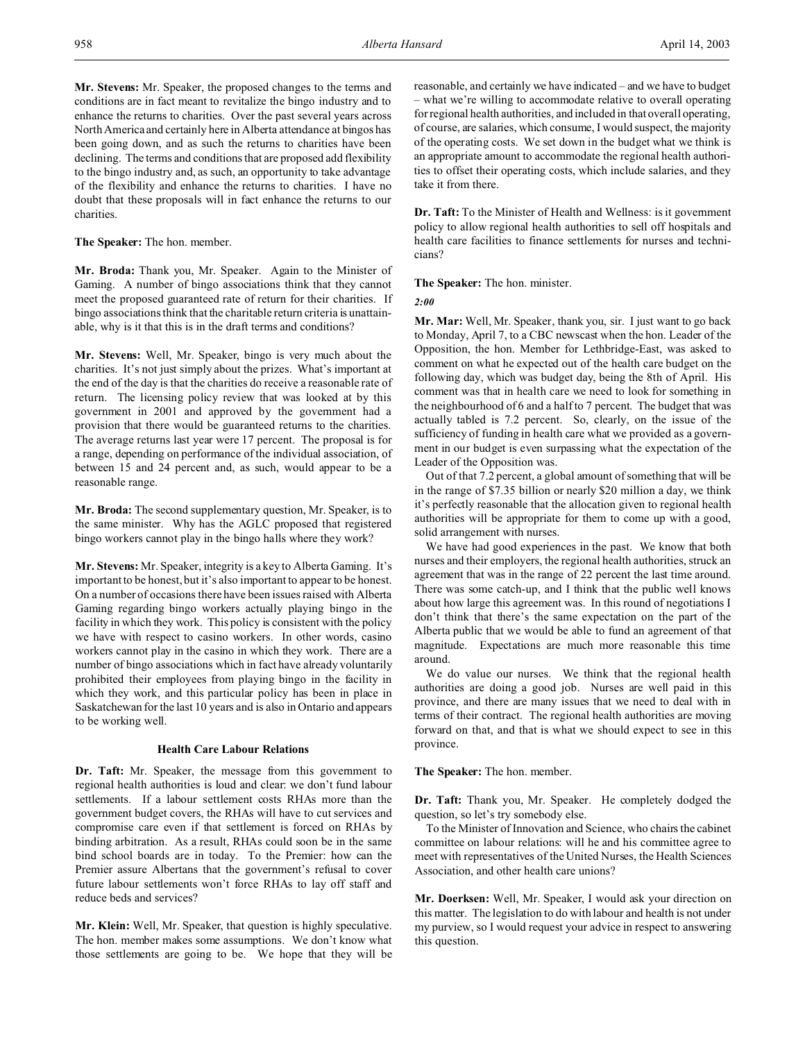**Mr. Stevens:** Mr. Speaker, the proposed changes to the terms and conditions are in fact meant to revitalize the bingo industry and to enhance the returns to charities. Over the past several years across North America and certainly here in Alberta attendance at bingos has been going down, and as such the returns to charities have been declining. The terms and conditions that are proposed add flexibility to the bingo industry and, as such, an opportunity to take advantage of the flexibility and enhance the returns to charities. I have no doubt that these proposals will in fact enhance the returns to our charities.

**The Speaker:** The hon. member.

**Mr. Broda:** Thank you, Mr. Speaker. Again to the Minister of Gaming. A number of bingo associations think that they cannot meet the proposed guaranteed rate of return for their charities. If bingo associations think that the charitable return criteria is unattainable, why is it that this is in the draft terms and conditions?

**Mr. Stevens:** Well, Mr. Speaker, bingo is very much about the charities. It's not just simply about the prizes. What's important at the end of the day is that the charities do receive a reasonable rate of return. The licensing policy review that was looked at by this government in 2001 and approved by the government had a provision that there would be guaranteed returns to the charities. The average returns last year were 17 percent. The proposal is for a range, depending on performance of the individual association, of between 15 and 24 percent and, as such, would appear to be a reasonable range.

**Mr. Broda:** The second supplementary question, Mr. Speaker, is to the same minister. Why has the AGLC proposed that registered bingo workers cannot play in the bingo halls where they work?

**Mr. Stevens:** Mr. Speaker, integrity is a key to Alberta Gaming. It's important to be honest, but it's also important to appear to be honest. On a number of occasions there have been issues raised with Alberta Gaming regarding bingo workers actually playing bingo in the facility in which they work. This policy is consistent with the policy we have with respect to casino workers. In other words, casino workers cannot play in the casino in which they work. There are a number of bingo associations which in fact have already voluntarily prohibited their employees from playing bingo in the facility in which they work, and this particular policy has been in place in Saskatchewan for the last 10 years and is also in Ontario and appears to be working well.

# **Health Care Labour Relations**

**Dr. Taft:** Mr. Speaker, the message from this government to regional health authorities is loud and clear: we don't fund labour settlements. If a labour settlement costs RHAs more than the government budget covers, the RHAs will have to cut services and compromise care even if that settlement is forced on RHAs by binding arbitration. As a result, RHAs could soon be in the same bind school boards are in today. To the Premier: how can the Premier assure Albertans that the government's refusal to cover future labour settlements won't force RHAs to lay off staff and reduce beds and services?

**Mr. Klein:** Well, Mr. Speaker, that question is highly speculative. The hon. member makes some assumptions. We don't know what those settlements are going to be. We hope that they will be reasonable, and certainly we have indicated – and we have to budget – what we're willing to accommodate relative to overall operating for regional health authorities, and included in that overall operating, of course, are salaries, which consume, I would suspect, the majority of the operating costs. We set down in the budget what we think is an appropriate amount to accommodate the regional health authorities to offset their operating costs, which include salaries, and they take it from there.

**Dr. Taft:** To the Minister of Health and Wellness: is it government policy to allow regional health authorities to sell off hospitals and health care facilities to finance settlements for nurses and technicians?

**The Speaker:** The hon. minister.

*2:00*

**Mr. Mar:** Well, Mr. Speaker, thank you, sir. I just want to go back to Monday, April 7, to a CBC newscast when the hon. Leader of the Opposition, the hon. Member for Lethbridge-East, was asked to comment on what he expected out of the health care budget on the following day, which was budget day, being the 8th of April. His comment was that in health care we need to look for something in the neighbourhood of 6 and a half to 7 percent. The budget that was actually tabled is 7.2 percent. So, clearly, on the issue of the sufficiency of funding in health care what we provided as a government in our budget is even surpassing what the expectation of the Leader of the Opposition was.

Out of that 7.2 percent, a global amount of something that will be in the range of \$7.35 billion or nearly \$20 million a day, we think it's perfectly reasonable that the allocation given to regional health authorities will be appropriate for them to come up with a good, solid arrangement with nurses.

We have had good experiences in the past. We know that both nurses and their employers, the regional health authorities, struck an agreement that was in the range of 22 percent the last time around. There was some catch-up, and I think that the public well knows about how large this agreement was. In this round of negotiations I don't think that there's the same expectation on the part of the Alberta public that we would be able to fund an agreement of that magnitude. Expectations are much more reasonable this time around.

We do value our nurses. We think that the regional health authorities are doing a good job. Nurses are well paid in this province, and there are many issues that we need to deal with in terms of their contract. The regional health authorities are moving forward on that, and that is what we should expect to see in this province.

**The Speaker:** The hon. member.

**Dr. Taft:** Thank you, Mr. Speaker. He completely dodged the question, so let's try somebody else.

To the Minister of Innovation and Science, who chairs the cabinet committee on labour relations: will he and his committee agree to meet with representatives of the United Nurses, the Health Sciences Association, and other health care unions?

**Mr. Doerksen:** Well, Mr. Speaker, I would ask your direction on this matter. The legislation to do with labour and health is not under my purview, so I would request your advice in respect to answering this question.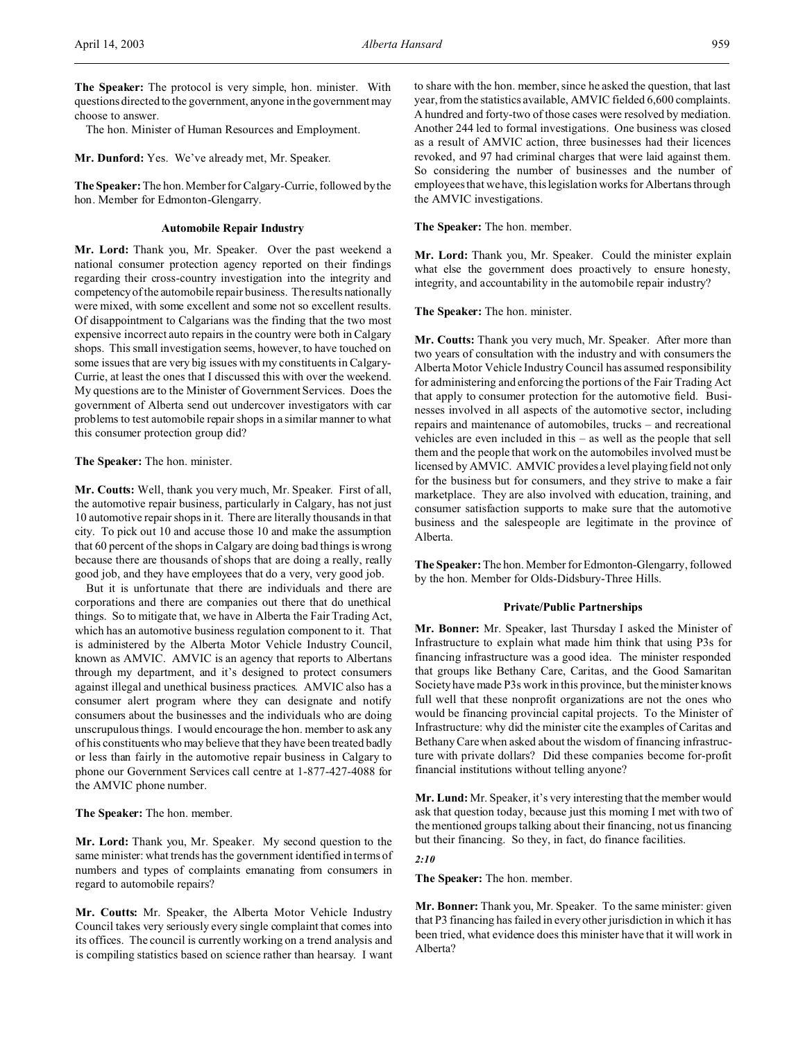The hon. Minister of Human Resources and Employment.

**Mr. Dunford:** Yes. We've already met, Mr. Speaker.

**The Speaker:** The hon. Member for Calgary-Currie, followed by the hon. Member for Edmonton-Glengarry.

### **Automobile Repair Industry**

**Mr. Lord:** Thank you, Mr. Speaker. Over the past weekend a national consumer protection agency reported on their findings regarding their cross-country investigation into the integrity and competency of the automobile repair business. The results nationally were mixed, with some excellent and some not so excellent results. Of disappointment to Calgarians was the finding that the two most expensive incorrect auto repairs in the country were both in Calgary shops. This small investigation seems, however, to have touched on some issues that are very big issues with my constituents in Calgary-Currie, at least the ones that I discussed this with over the weekend. My questions are to the Minister of Government Services. Does the government of Alberta send out undercover investigators with car problems to test automobile repair shops in a similar manner to what this consumer protection group did?

### **The Speaker:** The hon. minister.

**Mr. Coutts:** Well, thank you very much, Mr. Speaker. First of all, the automotive repair business, particularly in Calgary, has not just 10 automotive repair shops in it. There are literally thousands in that city. To pick out 10 and accuse those 10 and make the assumption that 60 percent of the shops in Calgary are doing bad things is wrong because there are thousands of shops that are doing a really, really good job, and they have employees that do a very, very good job.

But it is unfortunate that there are individuals and there are corporations and there are companies out there that do unethical things. So to mitigate that, we have in Alberta the Fair Trading Act, which has an automotive business regulation component to it. That is administered by the Alberta Motor Vehicle Industry Council, known as AMVIC. AMVIC is an agency that reports to Albertans through my department, and it's designed to protect consumers against illegal and unethical business practices. AMVIC also has a consumer alert program where they can designate and notify consumers about the businesses and the individuals who are doing unscrupulous things. I would encourage the hon. member to ask any of his constituents who may believe that they have been treated badly or less than fairly in the automotive repair business in Calgary to phone our Government Services call centre at 1-877-427-4088 for the AMVIC phone number.

#### **The Speaker:** The hon. member.

**Mr. Lord:** Thank you, Mr. Speaker. My second question to the same minister: what trends has the government identified in terms of numbers and types of complaints emanating from consumers in regard to automobile repairs?

**Mr. Coutts:** Mr. Speaker, the Alberta Motor Vehicle Industry Council takes very seriously every single complaint that comes into its offices. The council is currently working on a trend analysis and is compiling statistics based on science rather than hearsay. I want to share with the hon. member, since he asked the question, that last year, from the statistics available, AMVIC fielded 6,600 complaints. A hundred and forty-two of those cases were resolved by mediation. Another 244 led to formal investigations. One business was closed as a result of AMVIC action, three businesses had their licences revoked, and 97 had criminal charges that were laid against them. So considering the number of businesses and the number of employees that we have, this legislation works for Albertans through the AMVIC investigations.

**The Speaker:** The hon. member.

**Mr. Lord:** Thank you, Mr. Speaker. Could the minister explain what else the government does proactively to ensure honesty, integrity, and accountability in the automobile repair industry?

**The Speaker:** The hon. minister.

**Mr. Coutts:** Thank you very much, Mr. Speaker. After more than two years of consultation with the industry and with consumers the Alberta Motor Vehicle Industry Council has assumed responsibility for administering and enforcing the portions of the Fair Trading Act that apply to consumer protection for the automotive field. Businesses involved in all aspects of the automotive sector, including repairs and maintenance of automobiles, trucks – and recreational vehicles are even included in this – as well as the people that sell them and the people that work on the automobiles involved must be licensed by AMVIC. AMVIC provides a level playing field not only for the business but for consumers, and they strive to make a fair marketplace. They are also involved with education, training, and consumer satisfaction supports to make sure that the automotive business and the salespeople are legitimate in the province of Alberta.

**The Speaker:** The hon. Member for Edmonton-Glengarry, followed by the hon. Member for Olds-Didsbury-Three Hills.

#### **Private/Public Partnerships**

**Mr. Bonner:** Mr. Speaker, last Thursday I asked the Minister of Infrastructure to explain what made him think that using P3s for financing infrastructure was a good idea. The minister responded that groups like Bethany Care, Caritas, and the Good Samaritan Society have made P3s work in this province, but the minister knows full well that these nonprofit organizations are not the ones who would be financing provincial capital projects. To the Minister of Infrastructure: why did the minister cite the examples of Caritas and Bethany Care when asked about the wisdom of financing infrastructure with private dollars? Did these companies become for-profit financial institutions without telling anyone?

**Mr. Lund:** Mr. Speaker, it's very interesting that the member would ask that question today, because just this morning I met with two of the mentioned groups talking about their financing, not us financing but their financing. So they, in fact, do finance facilities.

## *2:10*

**The Speaker:** The hon. member.

**Mr. Bonner:** Thank you, Mr. Speaker. To the same minister: given that P3 financing has failed in every other jurisdiction in which it has been tried, what evidence does this minister have that it will work in Alberta?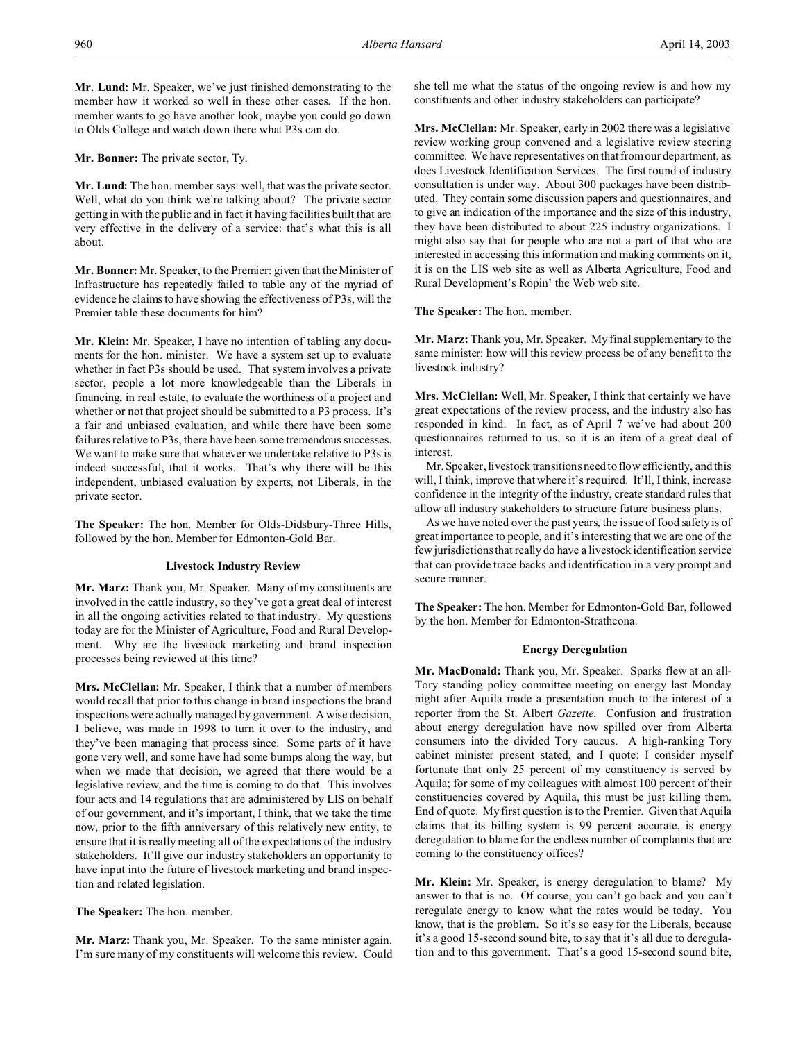**Mr. Lund:** Mr. Speaker, we've just finished demonstrating to the member how it worked so well in these other cases. If the hon. member wants to go have another look, maybe you could go down to Olds College and watch down there what P3s can do.

**Mr. Bonner:** The private sector, Ty.

**Mr. Lund:** The hon. member says: well, that was the private sector. Well, what do you think we're talking about? The private sector getting in with the public and in fact it having facilities built that are very effective in the delivery of a service: that's what this is all about.

**Mr. Bonner:** Mr. Speaker, to the Premier: given that the Minister of Infrastructure has repeatedly failed to table any of the myriad of evidence he claims to have showing the effectiveness of P3s, will the Premier table these documents for him?

**Mr. Klein:** Mr. Speaker, I have no intention of tabling any documents for the hon. minister. We have a system set up to evaluate whether in fact P3s should be used. That system involves a private sector, people a lot more knowledgeable than the Liberals in financing, in real estate, to evaluate the worthiness of a project and whether or not that project should be submitted to a P3 process. It's a fair and unbiased evaluation, and while there have been some failures relative to P3s, there have been some tremendous successes. We want to make sure that whatever we undertake relative to P3s is indeed successful, that it works. That's why there will be this independent, unbiased evaluation by experts, not Liberals, in the private sector.

**The Speaker:** The hon. Member for Olds-Didsbury-Three Hills, followed by the hon. Member for Edmonton-Gold Bar.

## **Livestock Industry Review**

**Mr. Marz:** Thank you, Mr. Speaker. Many of my constituents are involved in the cattle industry, so they've got a great deal of interest in all the ongoing activities related to that industry. My questions today are for the Minister of Agriculture, Food and Rural Development. Why are the livestock marketing and brand inspection processes being reviewed at this time?

**Mrs. McClellan:** Mr. Speaker, I think that a number of members would recall that prior to this change in brand inspections the brand inspections were actually managed by government. A wise decision, I believe, was made in 1998 to turn it over to the industry, and they've been managing that process since. Some parts of it have gone very well, and some have had some bumps along the way, but when we made that decision, we agreed that there would be a legislative review, and the time is coming to do that. This involves four acts and 14 regulations that are administered by LIS on behalf of our government, and it's important, I think, that we take the time now, prior to the fifth anniversary of this relatively new entity, to ensure that it is really meeting all of the expectations of the industry stakeholders. It'll give our industry stakeholders an opportunity to have input into the future of livestock marketing and brand inspection and related legislation.

**The Speaker:** The hon. member.

**Mr. Marz:** Thank you, Mr. Speaker. To the same minister again. I'm sure many of my constituents will welcome this review. Could she tell me what the status of the ongoing review is and how my constituents and other industry stakeholders can participate?

**Mrs. McClellan:** Mr. Speaker, early in 2002 there was a legislative review working group convened and a legislative review steering committee. We have representatives on that from our department, as does Livestock Identification Services. The first round of industry consultation is under way. About 300 packages have been distributed. They contain some discussion papers and questionnaires, and to give an indication of the importance and the size of this industry, they have been distributed to about 225 industry organizations. I might also say that for people who are not a part of that who are interested in accessing this information and making comments on it, it is on the LIS web site as well as Alberta Agriculture, Food and Rural Development's Ropin' the Web web site.

**The Speaker:** The hon. member.

**Mr. Marz:** Thank you, Mr. Speaker. My final supplementary to the same minister: how will this review process be of any benefit to the livestock industry?

**Mrs. McClellan:** Well, Mr. Speaker, I think that certainly we have great expectations of the review process, and the industry also has responded in kind. In fact, as of April 7 we've had about 200 questionnaires returned to us, so it is an item of a great deal of interest.

Mr. Speaker, livestock transitions need to flow efficiently, and this will, I think, improve that where it's required. It'll, I think, increase confidence in the integrity of the industry, create standard rules that allow all industry stakeholders to structure future business plans.

As we have noted over the past years, the issue of food safety is of great importance to people, and it's interesting that we are one of the few jurisdictions that really do have a livestock identification service that can provide trace backs and identification in a very prompt and secure manner.

**The Speaker:** The hon. Member for Edmonton-Gold Bar, followed by the hon. Member for Edmonton-Strathcona.

# **Energy Deregulation**

**Mr. MacDonald:** Thank you, Mr. Speaker. Sparks flew at an all-Tory standing policy committee meeting on energy last Monday night after Aquila made a presentation much to the interest of a reporter from the St. Albert *Gazette*. Confusion and frustration about energy deregulation have now spilled over from Alberta consumers into the divided Tory caucus. A high-ranking Tory cabinet minister present stated, and I quote: I consider myself fortunate that only 25 percent of my constituency is served by Aquila; for some of my colleagues with almost 100 percent of their constituencies covered by Aquila, this must be just killing them. End of quote. My first question is to the Premier. Given that Aquila claims that its billing system is 99 percent accurate, is energy deregulation to blame for the endless number of complaints that are coming to the constituency offices?

**Mr. Klein:** Mr. Speaker, is energy deregulation to blame? My answer to that is no. Of course, you can't go back and you can't reregulate energy to know what the rates would be today. You know, that is the problem. So it's so easy for the Liberals, because it's a good 15-second sound bite, to say that it's all due to deregulation and to this government. That's a good 15-second sound bite,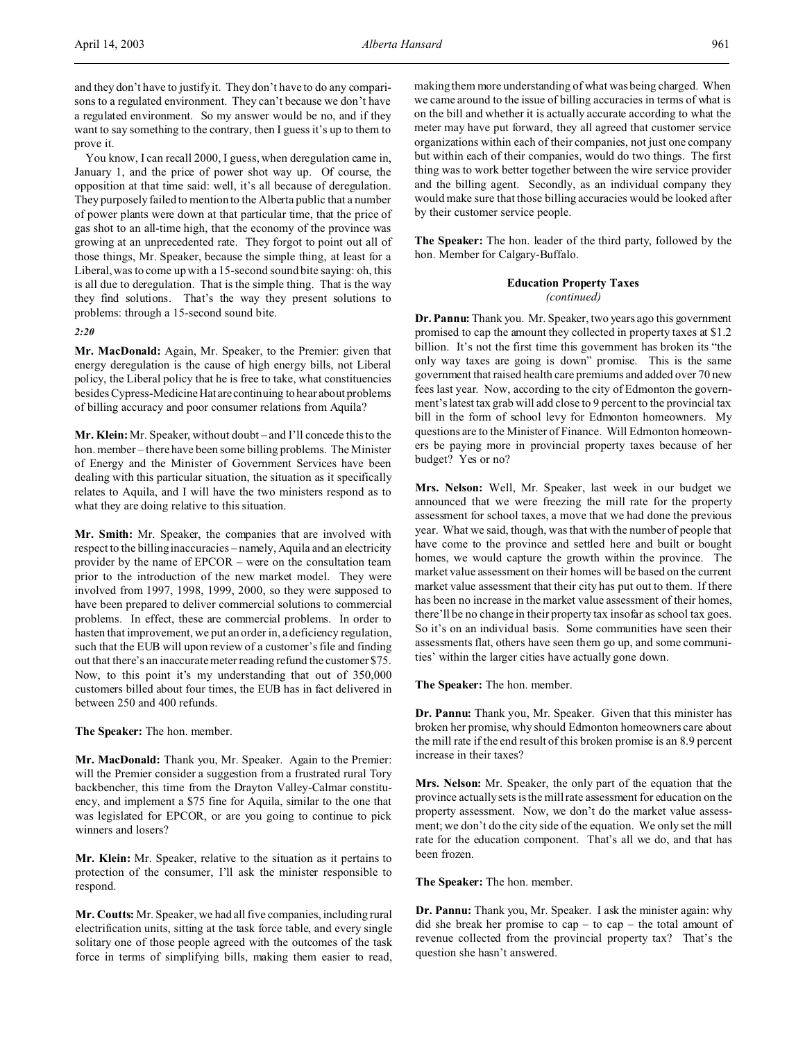and they don't have to justify it. They don't have to do any comparisons to a regulated environment. They can't because we don't have a regulated environment. So my answer would be no, and if they want to say something to the contrary, then I guess it's up to them to prove it.

You know, I can recall 2000, I guess, when deregulation came in, January 1, and the price of power shot way up. Of course, the opposition at that time said: well, it's all because of deregulation. They purposely failed to mention to the Alberta public that a number of power plants were down at that particular time, that the price of gas shot to an all-time high, that the economy of the province was growing at an unprecedented rate. They forgot to point out all of those things, Mr. Speaker, because the simple thing, at least for a Liberal, was to come up with a 15-second sound bite saying: oh, this is all due to deregulation. That is the simple thing. That is the way they find solutions. That's the way they present solutions to problems: through a 15-second sound bite.

#### *2:20*

**Mr. MacDonald:** Again, Mr. Speaker, to the Premier: given that energy deregulation is the cause of high energy bills, not Liberal policy, the Liberal policy that he is free to take, what constituencies besides Cypress-Medicine Hat are continuing to hear about problems of billing accuracy and poor consumer relations from Aquila?

**Mr. Klein:** Mr. Speaker, without doubt – and I'll concede this to the hon. member – there have been some billing problems. The Minister of Energy and the Minister of Government Services have been dealing with this particular situation, the situation as it specifically relates to Aquila, and I will have the two ministers respond as to what they are doing relative to this situation.

**Mr. Smith:** Mr. Speaker, the companies that are involved with respect to the billing inaccuracies – namely, Aquila and an electricity provider by the name of EPCOR – were on the consultation team prior to the introduction of the new market model. They were involved from 1997, 1998, 1999, 2000, so they were supposed to have been prepared to deliver commercial solutions to commercial problems. In effect, these are commercial problems. In order to hasten that improvement, we put an order in, a deficiency regulation, such that the EUB will upon review of a customer's file and finding out that there's an inaccurate meter reading refund the customer \$75. Now, to this point it's my understanding that out of 350,000 customers billed about four times, the EUB has in fact delivered in between 250 and 400 refunds.

**The Speaker:** The hon. member.

**Mr. MacDonald:** Thank you, Mr. Speaker. Again to the Premier: will the Premier consider a suggestion from a frustrated rural Tory backbencher, this time from the Drayton Valley-Calmar constituency, and implement a \$75 fine for Aquila, similar to the one that was legislated for EPCOR, or are you going to continue to pick winners and losers?

**Mr. Klein:** Mr. Speaker, relative to the situation as it pertains to protection of the consumer, I'll ask the minister responsible to respond.

**Mr. Coutts:** Mr. Speaker, we had all five companies, including rural electrification units, sitting at the task force table, and every single solitary one of those people agreed with the outcomes of the task force in terms of simplifying bills, making them easier to read,

making them more understanding of what was being charged. When we came around to the issue of billing accuracies in terms of what is on the bill and whether it is actually accurate according to what the meter may have put forward, they all agreed that customer service organizations within each of their companies, not just one company but within each of their companies, would do two things. The first thing was to work better together between the wire service provider and the billing agent. Secondly, as an individual company they would make sure that those billing accuracies would be looked after by their customer service people.

**The Speaker:** The hon. leader of the third party, followed by the hon. Member for Calgary-Buffalo.

# **Education Property Taxes** *(continued)*

**Dr. Pannu:** Thank you. Mr. Speaker, two years ago this government promised to cap the amount they collected in property taxes at \$1.2 billion. It's not the first time this government has broken its "the only way taxes are going is down" promise. This is the same government that raised health care premiums and added over 70 new fees last year. Now, according to the city of Edmonton the government's latest tax grab will add close to 9 percent to the provincial tax bill in the form of school levy for Edmonton homeowners. My questions are to the Minister of Finance. Will Edmonton homeowners be paying more in provincial property taxes because of her budget? Yes or no?

**Mrs. Nelson:** Well, Mr. Speaker, last week in our budget we announced that we were freezing the mill rate for the property assessment for school taxes, a move that we had done the previous year. What we said, though, was that with the number of people that have come to the province and settled here and built or bought homes, we would capture the growth within the province. The market value assessment on their homes will be based on the current market value assessment that their city has put out to them. If there has been no increase in the market value assessment of their homes, there'll be no change in their property tax insofar as school tax goes. So it's on an individual basis. Some communities have seen their assessments flat, others have seen them go up, and some communities' within the larger cities have actually gone down.

**The Speaker:** The hon. member.

**Dr. Pannu:** Thank you, Mr. Speaker. Given that this minister has broken her promise, why should Edmonton homeowners care about the mill rate if the end result of this broken promise is an 8.9 percent increase in their taxes?

**Mrs. Nelson:** Mr. Speaker, the only part of the equation that the province actually sets is the mill rate assessment for education on the property assessment. Now, we don't do the market value assessment; we don't do the city side of the equation. We only set the mill rate for the education component. That's all we do, and that has been frozen.

**The Speaker:** The hon. member.

**Dr. Pannu:** Thank you, Mr. Speaker. I ask the minister again: why did she break her promise to cap – to cap – the total amount of revenue collected from the provincial property tax? That's the question she hasn't answered.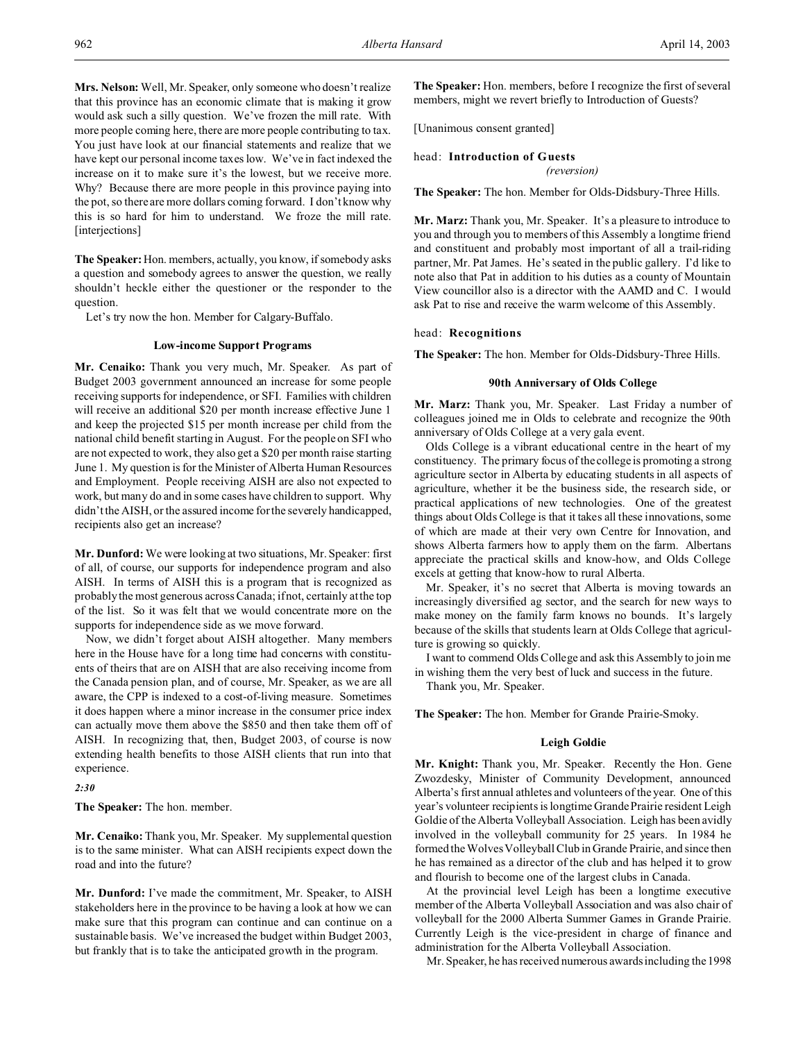**Mrs. Nelson:** Well, Mr. Speaker, only someone who doesn't realize that this province has an economic climate that is making it grow would ask such a silly question. We've frozen the mill rate. With more people coming here, there are more people contributing to tax. You just have look at our financial statements and realize that we have kept our personal income taxes low. We've in fact indexed the increase on it to make sure it's the lowest, but we receive more. Why? Because there are more people in this province paying into the pot, so there are more dollars coming forward. I don't know why this is so hard for him to understand. We froze the mill rate. [interjections]

**The Speaker:**Hon. members, actually, you know, if somebody asks a question and somebody agrees to answer the question, we really shouldn't heckle either the questioner or the responder to the question.

Let's try now the hon. Member for Calgary-Buffalo.

#### **Low-income Support Programs**

**Mr. Cenaiko:** Thank you very much, Mr. Speaker. As part of Budget 2003 government announced an increase for some people receiving supports for independence, or SFI. Families with children will receive an additional \$20 per month increase effective June 1 and keep the projected \$15 per month increase per child from the national child benefit starting in August. For the people on SFI who are not expected to work, they also get a \$20 per month raise starting June 1. My question is for the Minister of Alberta Human Resources and Employment. People receiving AISH are also not expected to work, but many do and in some cases have children to support. Why didn't the AISH, or the assured income for the severely handicapped, recipients also get an increase?

**Mr. Dunford:** We were looking at two situations, Mr. Speaker: first of all, of course, our supports for independence program and also AISH. In terms of AISH this is a program that is recognized as probably the most generous across Canada; if not, certainly at the top of the list. So it was felt that we would concentrate more on the supports for independence side as we move forward.

Now, we didn't forget about AISH altogether. Many members here in the House have for a long time had concerns with constituents of theirs that are on AISH that are also receiving income from the Canada pension plan, and of course, Mr. Speaker, as we are all aware, the CPP is indexed to a cost-of-living measure. Sometimes it does happen where a minor increase in the consumer price index can actually move them above the \$850 and then take them off of AISH. In recognizing that, then, Budget 2003, of course is now extending health benefits to those AISH clients that run into that experience.

*2:30*

**The Speaker:** The hon. member.

**Mr. Cenaiko:** Thank you, Mr. Speaker. My supplemental question is to the same minister. What can AISH recipients expect down the road and into the future?

**Mr. Dunford:** I've made the commitment, Mr. Speaker, to AISH stakeholders here in the province to be having a look at how we can make sure that this program can continue and can continue on a sustainable basis. We've increased the budget within Budget 2003, but frankly that is to take the anticipated growth in the program.

**The Speaker:** Hon. members, before I recognize the first of several members, might we revert briefly to Introduction of Guests?

[Unanimous consent granted]

```
head: Introduction of Guests
```
*(reversion)*

**The Speaker:** The hon. Member for Olds-Didsbury-Three Hills.

**Mr. Marz:** Thank you, Mr. Speaker. It's a pleasure to introduce to you and through you to members of this Assembly a longtime friend and constituent and probably most important of all a trail-riding partner, Mr. Pat James. He's seated in the public gallery. I'd like to note also that Pat in addition to his duties as a county of Mountain View councillor also is a director with the AAMD and C. I would ask Pat to rise and receive the warm welcome of this Assembly.

### head: **Recognitions**

**The Speaker:** The hon. Member for Olds-Didsbury-Three Hills.

# **90th Anniversary of Olds College**

**Mr. Marz:** Thank you, Mr. Speaker. Last Friday a number of colleagues joined me in Olds to celebrate and recognize the 90th anniversary of Olds College at a very gala event.

Olds College is a vibrant educational centre in the heart of my constituency. The primary focus of the college is promoting a strong agriculture sector in Alberta by educating students in all aspects of agriculture, whether it be the business side, the research side, or practical applications of new technologies. One of the greatest things about Olds College is that it takes all these innovations, some of which are made at their very own Centre for Innovation, and shows Alberta farmers how to apply them on the farm. Albertans appreciate the practical skills and know-how, and Olds College excels at getting that know-how to rural Alberta.

Mr. Speaker, it's no secret that Alberta is moving towards an increasingly diversified ag sector, and the search for new ways to make money on the family farm knows no bounds. It's largely because of the skills that students learn at Olds College that agriculture is growing so quickly.

I want to commend Olds College and ask this Assembly to join me in wishing them the very best of luck and success in the future.

Thank you, Mr. Speaker.

**The Speaker:** The hon. Member for Grande Prairie-Smoky.

## **Leigh Goldie**

**Mr. Knight:** Thank you, Mr. Speaker. Recently the Hon. Gene Zwozdesky, Minister of Community Development, announced Alberta's first annual athletes and volunteers of the year. One of this year's volunteer recipients is longtime Grande Prairie resident Leigh Goldie of the Alberta Volleyball Association. Leigh has been avidly involved in the volleyball community for 25 years. In 1984 he formed the Wolves Volleyball Club in Grande Prairie, and since then he has remained as a director of the club and has helped it to grow and flourish to become one of the largest clubs in Canada.

At the provincial level Leigh has been a longtime executive member of the Alberta Volleyball Association and was also chair of volleyball for the 2000 Alberta Summer Games in Grande Prairie. Currently Leigh is the vice-president in charge of finance and administration for the Alberta Volleyball Association.

Mr. Speaker, he has received numerous awards including the 1998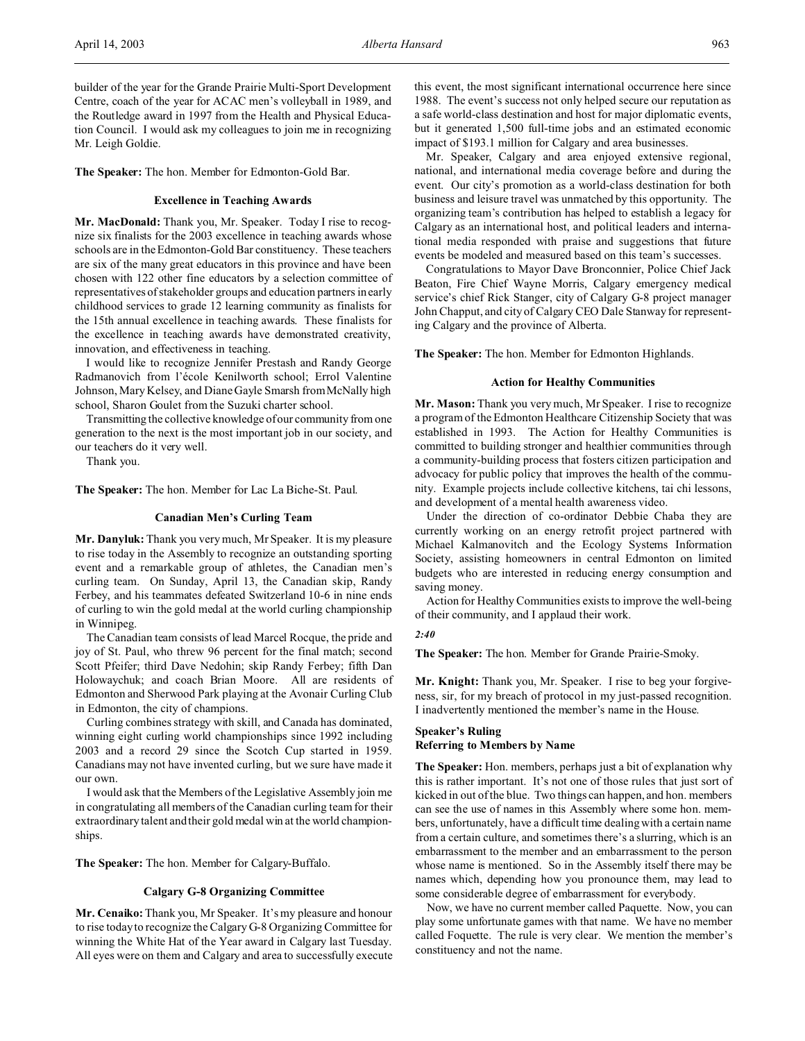builder of the year for the Grande Prairie Multi-Sport Development Centre, coach of the year for ACAC men's volleyball in 1989, and the Routledge award in 1997 from the Health and Physical Education Council. I would ask my colleagues to join me in recognizing Mr. Leigh Goldie.

**The Speaker:** The hon. Member for Edmonton-Gold Bar.

# **Excellence in Teaching Awards**

**Mr. MacDonald:** Thank you, Mr. Speaker. Today I rise to recognize six finalists for the 2003 excellence in teaching awards whose schools are in the Edmonton-Gold Bar constituency. These teachers are six of the many great educators in this province and have been chosen with 122 other fine educators by a selection committee of representatives of stakeholder groups and education partners in early childhood services to grade 12 learning community as finalists for the 15th annual excellence in teaching awards. These finalists for the excellence in teaching awards have demonstrated creativity, innovation, and effectiveness in teaching.

I would like to recognize Jennifer Prestash and Randy George Radmanovich from l'école Kenilworth school; Errol Valentine Johnson, Mary Kelsey, and Diane Gayle Smarsh from McNally high school, Sharon Goulet from the Suzuki charter school.

Transmitting the collective knowledge of our community from one generation to the next is the most important job in our society, and our teachers do it very well.

Thank you.

**The Speaker:** The hon. Member for Lac La Biche-St. Paul.

#### **Canadian Men's Curling Team**

**Mr. Danyluk:** Thank you very much, Mr Speaker. It is my pleasure to rise today in the Assembly to recognize an outstanding sporting event and a remarkable group of athletes, the Canadian men's curling team. On Sunday, April 13, the Canadian skip, Randy Ferbey, and his teammates defeated Switzerland 10-6 in nine ends of curling to win the gold medal at the world curling championship in Winnipeg.

The Canadian team consists of lead Marcel Rocque, the pride and joy of St. Paul, who threw 96 percent for the final match; second Scott Pfeifer; third Dave Nedohin; skip Randy Ferbey; fifth Dan Holowaychuk; and coach Brian Moore. All are residents of Edmonton and Sherwood Park playing at the Avonair Curling Club in Edmonton, the city of champions.

Curling combines strategy with skill, and Canada has dominated, winning eight curling world championships since 1992 including 2003 and a record 29 since the Scotch Cup started in 1959. Canadians may not have invented curling, but we sure have made it our own.

I would ask that the Members of the Legislative Assembly join me in congratulating all members of the Canadian curling team for their extraordinary talent and their gold medal win at the world championships.

**The Speaker:** The hon. Member for Calgary-Buffalo.

#### **Calgary G-8 Organizing Committee**

**Mr. Cenaiko:** Thank you, Mr Speaker. It's my pleasure and honour to rise today to recognize the Calgary G-8 Organizing Committee for winning the White Hat of the Year award in Calgary last Tuesday. All eyes were on them and Calgary and area to successfully execute this event, the most significant international occurrence here since 1988. The event's success not only helped secure our reputation as a safe world-class destination and host for major diplomatic events, but it generated 1,500 full-time jobs and an estimated economic impact of \$193.1 million for Calgary and area businesses.

Mr. Speaker, Calgary and area enjoyed extensive regional, national, and international media coverage before and during the event. Our city's promotion as a world-class destination for both business and leisure travel was unmatched by this opportunity. The organizing team's contribution has helped to establish a legacy for Calgary as an international host, and political leaders and international media responded with praise and suggestions that future events be modeled and measured based on this team's successes.

Congratulations to Mayor Dave Bronconnier, Police Chief Jack Beaton, Fire Chief Wayne Morris, Calgary emergency medical service's chief Rick Stanger, city of Calgary G-8 project manager John Chapput, and city of Calgary CEO Dale Stanway for representing Calgary and the province of Alberta.

**The Speaker:** The hon. Member for Edmonton Highlands.

#### **Action for Healthy Communities**

**Mr. Mason:** Thank you very much, Mr Speaker. I rise to recognize a program of the Edmonton Healthcare Citizenship Society that was established in 1993. The Action for Healthy Communities is committed to building stronger and healthier communities through a community-building process that fosters citizen participation and advocacy for public policy that improves the health of the community. Example projects include collective kitchens, tai chi lessons, and development of a mental health awareness video.

Under the direction of co-ordinator Debbie Chaba they are currently working on an energy retrofit project partnered with Michael Kalmanovitch and the Ecology Systems Information Society, assisting homeowners in central Edmonton on limited budgets who are interested in reducing energy consumption and saving money.

Action for Healthy Communities exists to improve the well-being of their community, and I applaud their work.

#### *2:40*

**The Speaker:** The hon. Member for Grande Prairie-Smoky.

**Mr. Knight:** Thank you, Mr. Speaker. I rise to beg your forgiveness, sir, for my breach of protocol in my just-passed recognition. I inadvertently mentioned the member's name in the House.

# **Speaker's Ruling Referring to Members by Name**

**The Speaker:** Hon. members, perhaps just a bit of explanation why this is rather important. It's not one of those rules that just sort of kicked in out of the blue. Two things can happen, and hon. members can see the use of names in this Assembly where some hon. members, unfortunately, have a difficult time dealing with a certain name from a certain culture, and sometimes there's a slurring, which is an embarrassment to the member and an embarrassment to the person whose name is mentioned. So in the Assembly itself there may be names which, depending how you pronounce them, may lead to some considerable degree of embarrassment for everybody.

Now, we have no current member called Paquette. Now, you can play some unfortunate games with that name. We have no member called Foquette. The rule is very clear. We mention the member's constituency and not the name.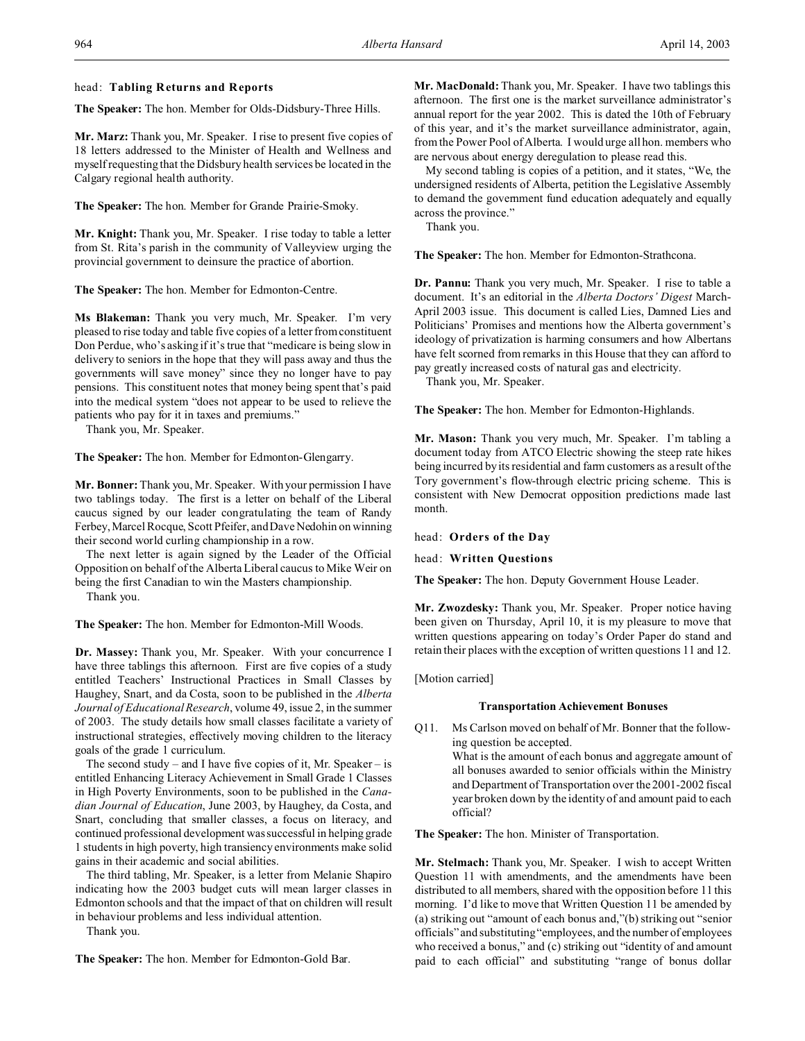# head: **Tabling Returns and Reports**

**The Speaker:** The hon. Member for Olds-Didsbury-Three Hills.

**Mr. Marz:** Thank you, Mr. Speaker. I rise to present five copies of 18 letters addressed to the Minister of Health and Wellness and myself requesting that the Didsbury health services be located in the Calgary regional health authority.

**The Speaker:** The hon. Member for Grande Prairie-Smoky.

**Mr. Knight:** Thank you, Mr. Speaker. I rise today to table a letter from St. Rita's parish in the community of Valleyview urging the provincial government to deinsure the practice of abortion.

**The Speaker:** The hon. Member for Edmonton-Centre.

**Ms Blakeman:** Thank you very much, Mr. Speaker. I'm very pleased to rise today and table five copies of a letter from constituent Don Perdue, who's asking if it's true that "medicare is being slow in delivery to seniors in the hope that they will pass away and thus the governments will save money" since they no longer have to pay pensions. This constituent notes that money being spent that's paid into the medical system "does not appear to be used to relieve the patients who pay for it in taxes and premiums."

Thank you, Mr. Speaker.

**The Speaker:** The hon. Member for Edmonton-Glengarry.

**Mr. Bonner:**Thank you, Mr. Speaker. With your permission I have two tablings today. The first is a letter on behalf of the Liberal caucus signed by our leader congratulating the team of Randy Ferbey,Marcel Rocque, Scott Pfeifer, and Dave Nedohin on winning their second world curling championship in a row.

The next letter is again signed by the Leader of the Official Opposition on behalf of the Alberta Liberal caucus to Mike Weir on being the first Canadian to win the Masters championship.

Thank you.

**The Speaker:** The hon. Member for Edmonton-Mill Woods.

**Dr. Massey:** Thank you, Mr. Speaker. With your concurrence I have three tablings this afternoon. First are five copies of a study entitled Teachers' Instructional Practices in Small Classes by Haughey, Snart, and da Costa, soon to be published in the *Alberta Journal of Educational Research*, volume 49, issue 2, in the summer of 2003. The study details how small classes facilitate a variety of instructional strategies, effectively moving children to the literacy goals of the grade 1 curriculum.

The second study – and I have five copies of it, Mr. Speaker – is entitled Enhancing Literacy Achievement in Small Grade 1 Classes in High Poverty Environments, soon to be published in the *Canadian Journal of Education*, June 2003, by Haughey, da Costa, and Snart, concluding that smaller classes, a focus on literacy, and continued professional development was successful in helping grade 1 students in high poverty, high transiency environments make solid gains in their academic and social abilities.

The third tabling, Mr. Speaker, is a letter from Melanie Shapiro indicating how the 2003 budget cuts will mean larger classes in Edmonton schools and that the impact of that on children will result in behaviour problems and less individual attention.

Thank you.

**The Speaker:** The hon. Member for Edmonton-Gold Bar.

**Mr. MacDonald:** Thank you, Mr. Speaker. I have two tablings this afternoon. The first one is the market surveillance administrator's annual report for the year 2002. This is dated the 10th of February of this year, and it's the market surveillance administrator, again, from the Power Pool of Alberta. I would urge all hon. members who are nervous about energy deregulation to please read this.

My second tabling is copies of a petition, and it states, "We, the undersigned residents of Alberta, petition the Legislative Assembly to demand the government fund education adequately and equally across the province."

Thank you.

**The Speaker:** The hon. Member for Edmonton-Strathcona.

**Dr. Pannu:** Thank you very much, Mr. Speaker. I rise to table a document. It's an editorial in the *Alberta Doctors' Digest* March-April 2003 issue. This document is called Lies, Damned Lies and Politicians' Promises and mentions how the Alberta government's ideology of privatization is harming consumers and how Albertans have felt scorned from remarks in this House that they can afford to pay greatly increased costs of natural gas and electricity.

Thank you, Mr. Speaker.

**The Speaker:** The hon. Member for Edmonton-Highlands.

**Mr. Mason:** Thank you very much, Mr. Speaker. I'm tabling a document today from ATCO Electric showing the steep rate hikes being incurred by its residential and farm customers as a result of the Tory government's flow-through electric pricing scheme. This is consistent with New Democrat opposition predictions made last month.

head: **Orders of the Day**

head: **Written Questions**

**The Speaker:** The hon. Deputy Government House Leader.

**Mr. Zwozdesky:** Thank you, Mr. Speaker. Proper notice having been given on Thursday, April 10, it is my pleasure to move that written questions appearing on today's Order Paper do stand and retain their places with the exception of written questions 11 and 12.

[Motion carried]

### **Transportation Achievement Bonuses**

Q11. Ms Carlson moved on behalf of Mr. Bonner that the following question be accepted. What is the amount of each bonus and aggregate amount of all bonuses awarded to senior officials within the Ministry and Department of Transportation over the 2001-2002 fiscal year broken down by the identity of and amount paid to each official?

**The Speaker:** The hon. Minister of Transportation.

**Mr. Stelmach:** Thank you, Mr. Speaker. I wish to accept Written Question 11 with amendments, and the amendments have been distributed to all members, shared with the opposition before 11 this morning. I'd like to move that Written Question 11 be amended by (a) striking out "amount of each bonus and,"(b) striking out "senior officials" and substituting "employees, and the number of employees who received a bonus," and (c) striking out "identity of and amount paid to each official" and substituting "range of bonus dollar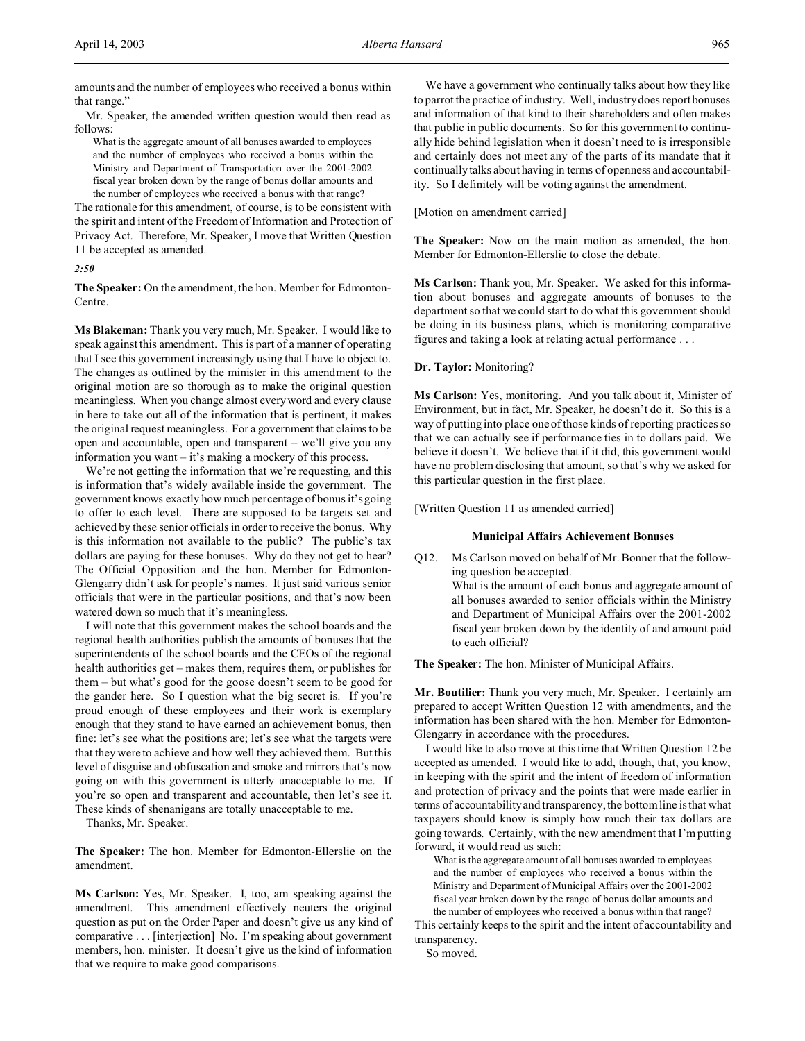amounts and the number of employees who received a bonus within that range."

Mr. Speaker, the amended written question would then read as follows:

What is the aggregate amount of all bonuses awarded to employees and the number of employees who received a bonus within the Ministry and Department of Transportation over the 2001-2002 fiscal year broken down by the range of bonus dollar amounts and the number of employees who received a bonus with that range?

The rationale for this amendment, of course, is to be consistent with the spirit and intent of the Freedom of Information and Protection of Privacy Act. Therefore, Mr. Speaker, I move that Written Question 11 be accepted as amended.

*2:50*

**The Speaker:** On the amendment, the hon. Member for Edmonton-Centre.

**Ms Blakeman:** Thank you very much, Mr. Speaker. I would like to speak against this amendment. This is part of a manner of operating that I see this government increasingly using that I have to object to. The changes as outlined by the minister in this amendment to the original motion are so thorough as to make the original question meaningless. When you change almost every word and every clause in here to take out all of the information that is pertinent, it makes the original request meaningless. For a government that claims to be open and accountable, open and transparent – we'll give you any information you want – it's making a mockery of this process.

We're not getting the information that we're requesting, and this is information that's widely available inside the government. The government knows exactly how much percentage of bonus it's going to offer to each level. There are supposed to be targets set and achieved by these senior officials in order to receive the bonus. Why is this information not available to the public? The public's tax dollars are paying for these bonuses. Why do they not get to hear? The Official Opposition and the hon. Member for Edmonton-Glengarry didn't ask for people's names. It just said various senior officials that were in the particular positions, and that's now been watered down so much that it's meaningless.

I will note that this government makes the school boards and the regional health authorities publish the amounts of bonuses that the superintendents of the school boards and the CEOs of the regional health authorities get – makes them, requires them, or publishes for them – but what's good for the goose doesn't seem to be good for the gander here. So I question what the big secret is. If you're proud enough of these employees and their work is exemplary enough that they stand to have earned an achievement bonus, then fine: let's see what the positions are; let's see what the targets were that they were to achieve and how well they achieved them. But this level of disguise and obfuscation and smoke and mirrors that's now going on with this government is utterly unacceptable to me. If you're so open and transparent and accountable, then let's see it. These kinds of shenanigans are totally unacceptable to me.

Thanks, Mr. Speaker.

**The Speaker:** The hon. Member for Edmonton-Ellerslie on the amendment.

**Ms Carlson:** Yes, Mr. Speaker. I, too, am speaking against the amendment. This amendment effectively neuters the original question as put on the Order Paper and doesn't give us any kind of comparative . . . [interjection] No. I'm speaking about government members, hon. minister. It doesn't give us the kind of information that we require to make good comparisons.

We have a government who continually talks about how they like to parrot the practice of industry. Well, industry does report bonuses and information of that kind to their shareholders and often makes that public in public documents. So for this government to continually hide behind legislation when it doesn't need to is irresponsible and certainly does not meet any of the parts of its mandate that it continually talks about having in terms of openness and accountability. So I definitely will be voting against the amendment.

[Motion on amendment carried]

**The Speaker:** Now on the main motion as amended, the hon. Member for Edmonton-Ellerslie to close the debate.

**Ms Carlson:** Thank you, Mr. Speaker. We asked for this information about bonuses and aggregate amounts of bonuses to the department so that we could start to do what this government should be doing in its business plans, which is monitoring comparative figures and taking a look at relating actual performance . . .

#### **Dr. Taylor:** Monitoring?

**Ms Carlson:** Yes, monitoring. And you talk about it, Minister of Environment, but in fact, Mr. Speaker, he doesn't do it. So this is a way of putting into place one of those kinds of reporting practices so that we can actually see if performance ties in to dollars paid. We believe it doesn't. We believe that if it did, this government would have no problem disclosing that amount, so that's why we asked for this particular question in the first place.

[Written Question 11 as amended carried]

#### **Municipal Affairs Achievement Bonuses**

Q12. Ms Carlson moved on behalf of Mr. Bonner that the following question be accepted. What is the amount of each bonus and aggregate amount of all bonuses awarded to senior officials within the Ministry and Department of Municipal Affairs over the 2001-2002 fiscal year broken down by the identity of and amount paid to each official?

**The Speaker:** The hon. Minister of Municipal Affairs.

**Mr. Boutilier:** Thank you very much, Mr. Speaker. I certainly am prepared to accept Written Question 12 with amendments, and the information has been shared with the hon. Member for Edmonton-Glengarry in accordance with the procedures.

I would like to also move at this time that Written Question 12 be accepted as amended. I would like to add, though, that, you know, in keeping with the spirit and the intent of freedom of information and protection of privacy and the points that were made earlier in terms of accountability and transparency, the bottom line is that what taxpayers should know is simply how much their tax dollars are going towards. Certainly, with the new amendment that I'm putting forward, it would read as such:

What is the aggregate amount of all bonuses awarded to employees and the number of employees who received a bonus within the Ministry and Department of Municipal Affairs over the 2001-2002 fiscal year broken down by the range of bonus dollar amounts and the number of employees who received a bonus within that range?

This certainly keeps to the spirit and the intent of accountability and transparency.

So moved.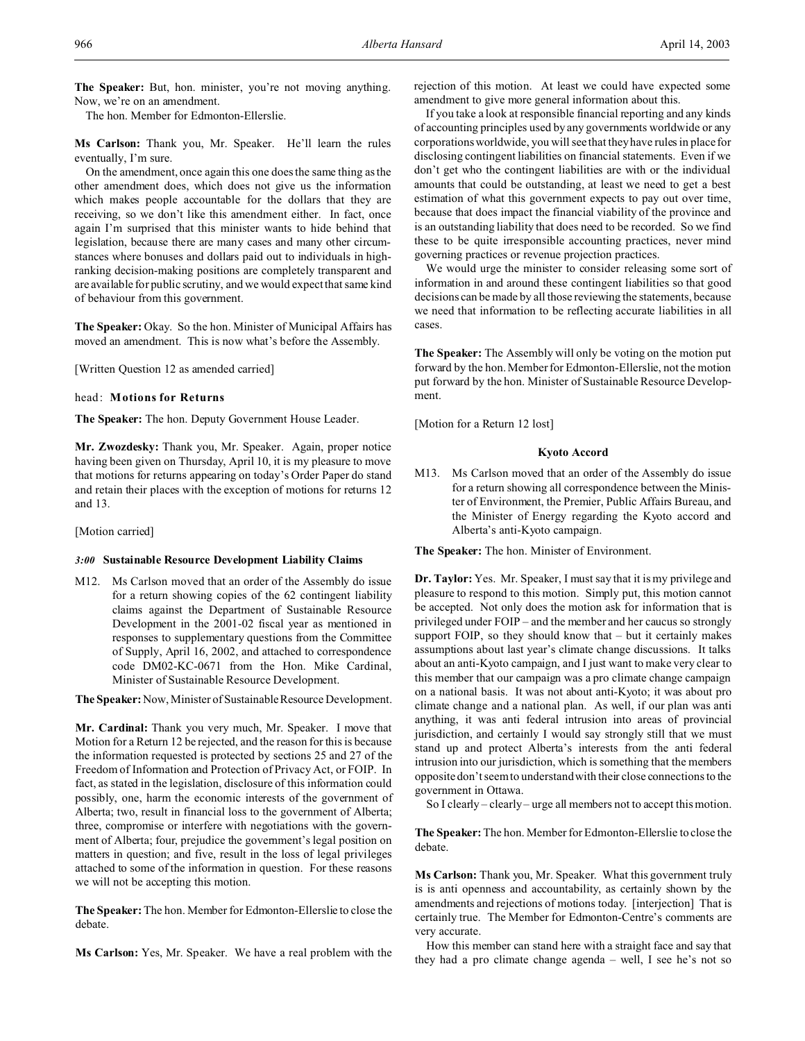**The Speaker:** But, hon. minister, you're not moving anything. Now, we're on an amendment.

The hon. Member for Edmonton-Ellerslie.

**Ms Carlson:** Thank you, Mr. Speaker. He'll learn the rules eventually, I'm sure.

On the amendment, once again this one does the same thing as the other amendment does, which does not give us the information which makes people accountable for the dollars that they are receiving, so we don't like this amendment either. In fact, once again I'm surprised that this minister wants to hide behind that legislation, because there are many cases and many other circumstances where bonuses and dollars paid out to individuals in highranking decision-making positions are completely transparent and are available for public scrutiny, and we would expect that same kind of behaviour from this government.

**The Speaker:** Okay. So the hon. Minister of Municipal Affairs has moved an amendment. This is now what's before the Assembly.

[Written Question 12 as amended carried]

### head: **Motions for Returns**

**The Speaker:** The hon. Deputy Government House Leader.

**Mr. Zwozdesky:** Thank you, Mr. Speaker. Again, proper notice having been given on Thursday, April 10, it is my pleasure to move that motions for returns appearing on today's Order Paper do stand and retain their places with the exception of motions for returns 12 and 13.

[Motion carried]

#### *3:00* **Sustainable Resource Development Liability Claims**

M12. Ms Carlson moved that an order of the Assembly do issue for a return showing copies of the 62 contingent liability claims against the Department of Sustainable Resource Development in the 2001-02 fiscal year as mentioned in responses to supplementary questions from the Committee of Supply, April 16, 2002, and attached to correspondence code DM02-KC-0671 from the Hon. Mike Cardinal, Minister of Sustainable Resource Development.

The Speaker: Now, Minister of Sustainable Resource Development.

**Mr. Cardinal:** Thank you very much, Mr. Speaker. I move that Motion for a Return 12 be rejected, and the reason for this is because the information requested is protected by sections 25 and 27 of the Freedom of Information and Protection of Privacy Act, or FOIP. In fact, as stated in the legislation, disclosure of this information could possibly, one, harm the economic interests of the government of Alberta; two, result in financial loss to the government of Alberta; three, compromise or interfere with negotiations with the government of Alberta; four, prejudice the government's legal position on matters in question; and five, result in the loss of legal privileges attached to some of the information in question. For these reasons we will not be accepting this motion.

**The Speaker:** The hon. Member for Edmonton-Ellerslie to close the debate.

**Ms Carlson:** Yes, Mr. Speaker. We have a real problem with the

rejection of this motion. At least we could have expected some amendment to give more general information about this.

If you take a look at responsible financial reporting and any kinds of accounting principles used by any governments worldwide or any corporations worldwide, you will see that they have rules in place for disclosing contingent liabilities on financial statements. Even if we don't get who the contingent liabilities are with or the individual amounts that could be outstanding, at least we need to get a best estimation of what this government expects to pay out over time, because that does impact the financial viability of the province and is an outstanding liability that does need to be recorded. So we find these to be quite irresponsible accounting practices, never mind governing practices or revenue projection practices.

We would urge the minister to consider releasing some sort of information in and around these contingent liabilities so that good decisions can be made by all those reviewing the statements, because we need that information to be reflecting accurate liabilities in all cases.

**The Speaker:** The Assembly will only be voting on the motion put forward by the hon. Member for Edmonton-Ellerslie, not the motion put forward by the hon. Minister of Sustainable Resource Development.

[Motion for a Return 12 lost]

### **Kyoto Accord**

M13. Ms Carlson moved that an order of the Assembly do issue for a return showing all correspondence between the Minister of Environment, the Premier, Public Affairs Bureau, and the Minister of Energy regarding the Kyoto accord and Alberta's anti-Kyoto campaign.

**The Speaker:** The hon. Minister of Environment.

**Dr. Taylor:** Yes. Mr. Speaker, I must say that it is my privilege and pleasure to respond to this motion. Simply put, this motion cannot be accepted. Not only does the motion ask for information that is privileged under FOIP – and the member and her caucus so strongly support FOIP, so they should know that – but it certainly makes assumptions about last year's climate change discussions. It talks about an anti-Kyoto campaign, and I just want to make very clear to this member that our campaign was a pro climate change campaign on a national basis. It was not about anti-Kyoto; it was about pro climate change and a national plan. As well, if our plan was anti anything, it was anti federal intrusion into areas of provincial jurisdiction, and certainly I would say strongly still that we must stand up and protect Alberta's interests from the anti federal intrusion into our jurisdiction, which is something that the members opposite don't seem to understand with their close connections to the government in Ottawa.

So I clearly – clearly – urge all members not to accept this motion.

**The Speaker:** The hon. Member for Edmonton-Ellerslie to close the debate.

**Ms Carlson:** Thank you, Mr. Speaker. What this government truly is is anti openness and accountability, as certainly shown by the amendments and rejections of motions today. [interjection] That is certainly true. The Member for Edmonton-Centre's comments are very accurate.

How this member can stand here with a straight face and say that they had a pro climate change agenda – well, I see he's not so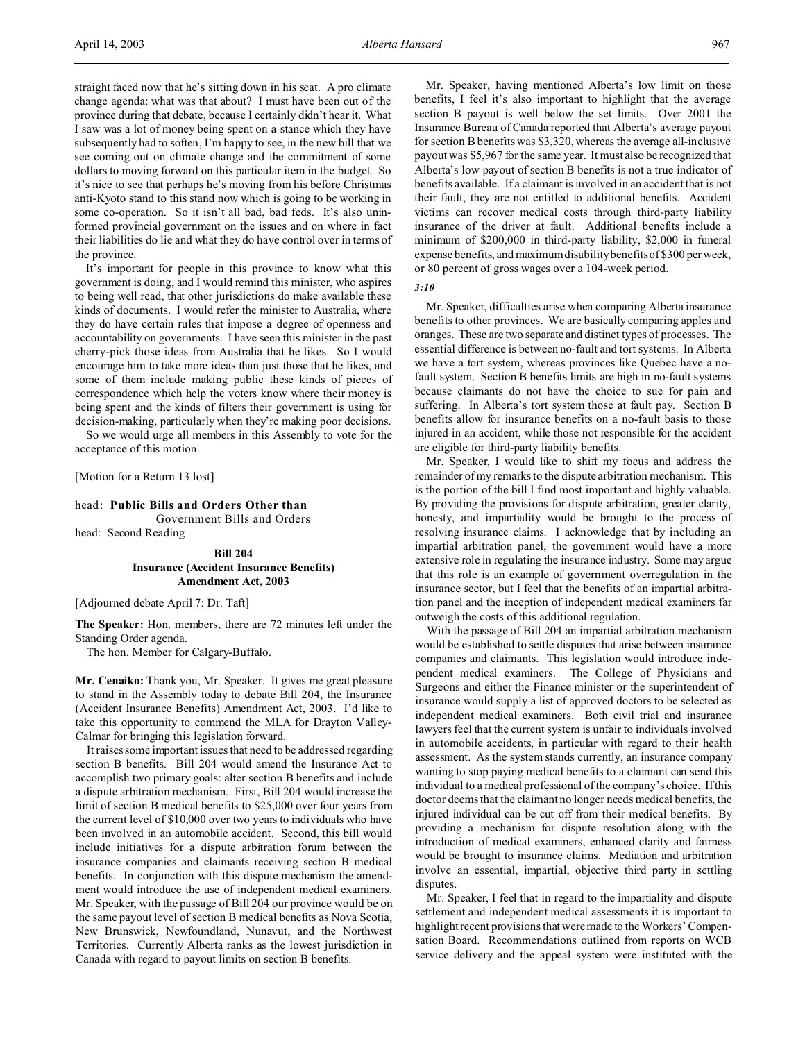straight faced now that he's sitting down in his seat. A pro climate change agenda: what was that about? I must have been out of the province during that debate, because I certainly didn't hear it. What I saw was a lot of money being spent on a stance which they have subsequently had to soften, I'm happy to see, in the new bill that we see coming out on climate change and the commitment of some dollars to moving forward on this particular item in the budget. So it's nice to see that perhaps he's moving from his before Christmas anti-Kyoto stand to this stand now which is going to be working in some co-operation. So it isn't all bad, bad feds. It's also unin-

formed provincial government on the issues and on where in fact their liabilities do lie and what they do have control over in terms of the province. It's important for people in this province to know what this government is doing, and I would remind this minister, who aspires to being well read, that other jurisdictions do make available these kinds of documents. I would refer the minister to Australia, where they do have certain rules that impose a degree of openness and accountability on governments. I have seen this minister in the past

cherry-pick those ideas from Australia that he likes. So I would encourage him to take more ideas than just those that he likes, and some of them include making public these kinds of pieces of correspondence which help the voters know where their money is being spent and the kinds of filters their government is using for decision-making, particularly when they're making poor decisions.

So we would urge all members in this Assembly to vote for the acceptance of this motion.

[Motion for a Return 13 lost]

# head: **Public Bills and Orders Other than**

Government Bills and Orders

head: Second Reading

# **Bill 204 Insurance (Accident Insurance Benefits) Amendment Act, 2003**

[Adjourned debate April 7: Dr. Taft]

**The Speaker:** Hon. members, there are 72 minutes left under the Standing Order agenda.

The hon. Member for Calgary-Buffalo.

**Mr. Cenaiko:** Thank you, Mr. Speaker. It gives me great pleasure to stand in the Assembly today to debate Bill 204, the Insurance (Accident Insurance Benefits) Amendment Act, 2003. I'd like to take this opportunity to commend the MLA for Drayton Valley-Calmar for bringing this legislation forward.

It raises some important issues that need to be addressed regarding section B benefits. Bill 204 would amend the Insurance Act to accomplish two primary goals: alter section B benefits and include a dispute arbitration mechanism. First, Bill 204 would increase the limit of section B medical benefits to \$25,000 over four years from the current level of \$10,000 over two years to individuals who have been involved in an automobile accident. Second, this bill would include initiatives for a dispute arbitration forum between the insurance companies and claimants receiving section B medical benefits. In conjunction with this dispute mechanism the amendment would introduce the use of independent medical examiners. Mr. Speaker, with the passage of Bill 204 our province would be on the same payout level of section B medical benefits as Nova Scotia, New Brunswick, Newfoundland, Nunavut, and the Northwest Territories. Currently Alberta ranks as the lowest jurisdiction in Canada with regard to payout limits on section B benefits.

Mr. Speaker, having mentioned Alberta's low limit on those benefits, I feel it's also important to highlight that the average section B payout is well below the set limits. Over 2001 the Insurance Bureau of Canada reported that Alberta's average payout for section B benefits was \$3,320, whereas the average all-inclusive payout was \$5,967 for the same year. It must also be recognized that Alberta's low payout of section B benefits is not a true indicator of benefits available. If a claimant is involved in an accident that is not their fault, they are not entitled to additional benefits. Accident victims can recover medical costs through third-party liability insurance of the driver at fault. Additional benefits include a minimum of \$200,000 in third-party liability, \$2,000 in funeral expense benefits, and maximum disability benefits of \$300 per week, or 80 percent of gross wages over a 104-week period.

*3:10*

Mr. Speaker, difficulties arise when comparing Alberta insurance benefits to other provinces. We are basically comparing apples and oranges. These are two separate and distinct types of processes. The essential difference is between no-fault and tort systems. In Alberta we have a tort system, whereas provinces like Quebec have a nofault system. Section B benefits limits are high in no-fault systems because claimants do not have the choice to sue for pain and suffering. In Alberta's tort system those at fault pay. Section B benefits allow for insurance benefits on a no-fault basis to those injured in an accident, while those not responsible for the accident are eligible for third-party liability benefits.

Mr. Speaker, I would like to shift my focus and address the remainder of my remarks to the dispute arbitration mechanism. This is the portion of the bill I find most important and highly valuable. By providing the provisions for dispute arbitration, greater clarity, honesty, and impartiality would be brought to the process of resolving insurance claims. I acknowledge that by including an impartial arbitration panel, the government would have a more extensive role in regulating the insurance industry. Some may argue that this role is an example of government overregulation in the insurance sector, but I feel that the benefits of an impartial arbitration panel and the inception of independent medical examiners far outweigh the costs of this additional regulation.

With the passage of Bill 204 an impartial arbitration mechanism would be established to settle disputes that arise between insurance companies and claimants. This legislation would introduce independent medical examiners. The College of Physicians and Surgeons and either the Finance minister or the superintendent of insurance would supply a list of approved doctors to be selected as independent medical examiners. Both civil trial and insurance lawyers feel that the current system is unfair to individuals involved in automobile accidents, in particular with regard to their health assessment. As the system stands currently, an insurance company wanting to stop paying medical benefits to a claimant can send this individual to a medical professional of the company's choice. If this doctor deems that the claimant no longer needs medical benefits, the injured individual can be cut off from their medical benefits. By providing a mechanism for dispute resolution along with the introduction of medical examiners, enhanced clarity and fairness would be brought to insurance claims. Mediation and arbitration involve an essential, impartial, objective third party in settling disputes.

Mr. Speaker, I feel that in regard to the impartiality and dispute settlement and independent medical assessments it is important to highlight recent provisions that were made to the Workers' Compensation Board. Recommendations outlined from reports on WCB service delivery and the appeal system were instituted with the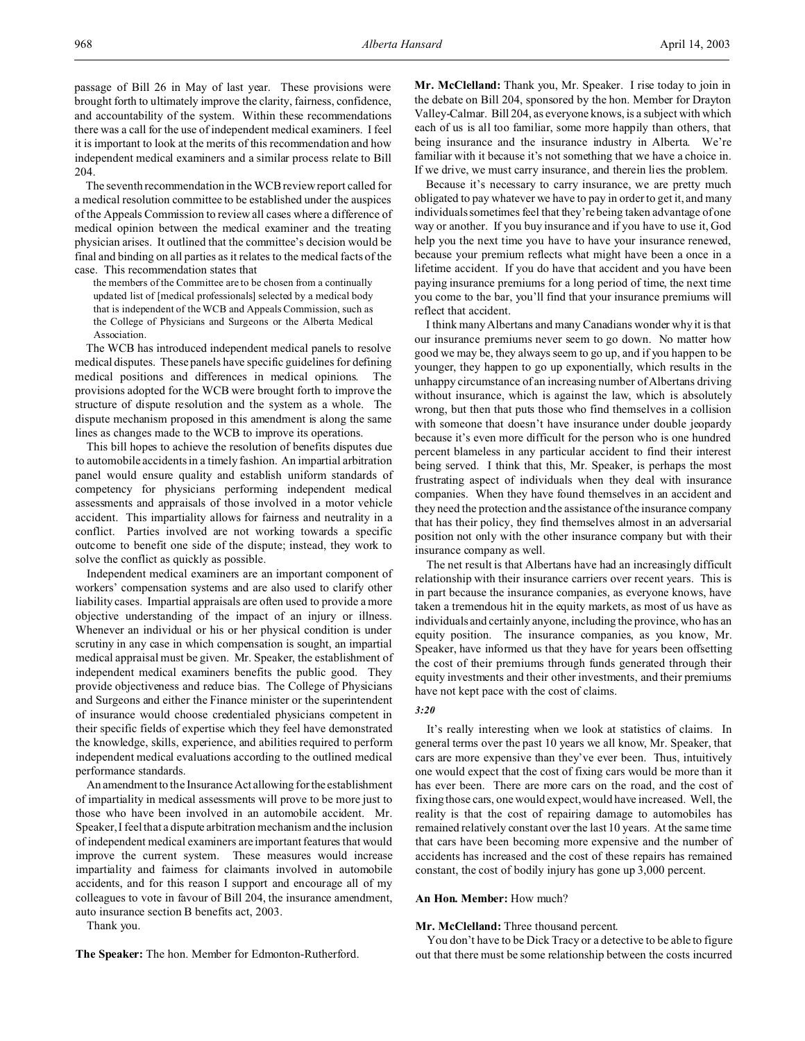passage of Bill 26 in May of last year. These provisions were brought forth to ultimately improve the clarity, fairness, confidence, and accountability of the system. Within these recommendations there was a call for the use of independent medical examiners. I feel it is important to look at the merits of this recommendation and how independent medical examiners and a similar process relate to Bill 204.

The seventh recommendation in the WCB review report called for a medical resolution committee to be established under the auspices of the Appeals Commission to review all cases where a difference of medical opinion between the medical examiner and the treating physician arises. It outlined that the committee's decision would be final and binding on all parties as it relates to the medical facts of the case. This recommendation states that

the members of the Committee are to be chosen from a continually updated list of [medical professionals] selected by a medical body that is independent of the WCB and Appeals Commission, such as the College of Physicians and Surgeons or the Alberta Medical Association.

The WCB has introduced independent medical panels to resolve medical disputes. These panels have specific guidelines for defining medical positions and differences in medical opinions. The provisions adopted for the WCB were brought forth to improve the structure of dispute resolution and the system as a whole. The dispute mechanism proposed in this amendment is along the same lines as changes made to the WCB to improve its operations.

This bill hopes to achieve the resolution of benefits disputes due to automobile accidents in a timely fashion. An impartial arbitration panel would ensure quality and establish uniform standards of competency for physicians performing independent medical assessments and appraisals of those involved in a motor vehicle accident. This impartiality allows for fairness and neutrality in a conflict. Parties involved are not working towards a specific outcome to benefit one side of the dispute; instead, they work to solve the conflict as quickly as possible.

Independent medical examiners are an important component of workers' compensation systems and are also used to clarify other liability cases. Impartial appraisals are often used to provide a more objective understanding of the impact of an injury or illness. Whenever an individual or his or her physical condition is under scrutiny in any case in which compensation is sought, an impartial medical appraisal must be given. Mr. Speaker, the establishment of independent medical examiners benefits the public good. They provide objectiveness and reduce bias. The College of Physicians and Surgeons and either the Finance minister or the superintendent of insurance would choose credentialed physicians competent in their specific fields of expertise which they feel have demonstrated the knowledge, skills, experience, and abilities required to perform independent medical evaluations according to the outlined medical performance standards.

An amendment to the Insurance Act allowing forthe establishment of impartiality in medical assessments will prove to be more just to those who have been involved in an automobile accident. Mr. Speaker, I feel that a dispute arbitration mechanism and the inclusion of independent medical examiners are important features that would improve the current system. These measures would increase impartiality and fairness for claimants involved in automobile accidents, and for this reason I support and encourage all of my colleagues to vote in favour of Bill 204, the insurance amendment, auto insurance section B benefits act, 2003.

Thank you.

**The Speaker:** The hon. Member for Edmonton-Rutherford.

**Mr. McClelland:** Thank you, Mr. Speaker. I rise today to join in the debate on Bill 204, sponsored by the hon. Member for Drayton Valley-Calmar. Bill 204, as everyone knows, is a subject with which each of us is all too familiar, some more happily than others, that being insurance and the insurance industry in Alberta. We're familiar with it because it's not something that we have a choice in. If we drive, we must carry insurance, and therein lies the problem.

Because it's necessary to carry insurance, we are pretty much obligated to pay whatever we have to pay in order to get it, and many individuals sometimes feel that they're being taken advantage of one way or another. If you buy insurance and if you have to use it, God help you the next time you have to have your insurance renewed, because your premium reflects what might have been a once in a lifetime accident. If you do have that accident and you have been paying insurance premiums for a long period of time, the next time you come to the bar, you'll find that your insurance premiums will reflect that accident.

I think many Albertans and many Canadians wonder why it is that our insurance premiums never seem to go down. No matter how good we may be, they always seem to go up, and if you happen to be younger, they happen to go up exponentially, which results in the unhappy circumstance of an increasing number of Albertans driving without insurance, which is against the law, which is absolutely wrong, but then that puts those who find themselves in a collision with someone that doesn't have insurance under double jeopardy because it's even more difficult for the person who is one hundred percent blameless in any particular accident to find their interest being served. I think that this, Mr. Speaker, is perhaps the most frustrating aspect of individuals when they deal with insurance companies. When they have found themselves in an accident and they need the protection and the assistance of the insurance company that has their policy, they find themselves almost in an adversarial position not only with the other insurance company but with their insurance company as well.

The net result is that Albertans have had an increasingly difficult relationship with their insurance carriers over recent years. This is in part because the insurance companies, as everyone knows, have taken a tremendous hit in the equity markets, as most of us have as individuals and certainly anyone, including the province, who has an equity position. The insurance companies, as you know, Mr. Speaker, have informed us that they have for years been offsetting the cost of their premiums through funds generated through their equity investments and their other investments, and their premiums have not kept pace with the cost of claims.

#### *3:20*

It's really interesting when we look at statistics of claims. In general terms over the past 10 years we all know, Mr. Speaker, that cars are more expensive than they've ever been. Thus, intuitively one would expect that the cost of fixing cars would be more than it has ever been. There are more cars on the road, and the cost of fixing those cars, one would expect, would have increased. Well, the reality is that the cost of repairing damage to automobiles has remained relatively constant over the last 10 years. At the same time that cars have been becoming more expensive and the number of accidents has increased and the cost of these repairs has remained constant, the cost of bodily injury has gone up 3,000 percent.

# **An Hon. Member:** How much?

#### **Mr. McClelland:** Three thousand percent.

You don't have to be Dick Tracy or a detective to be able to figure out that there must be some relationship between the costs incurred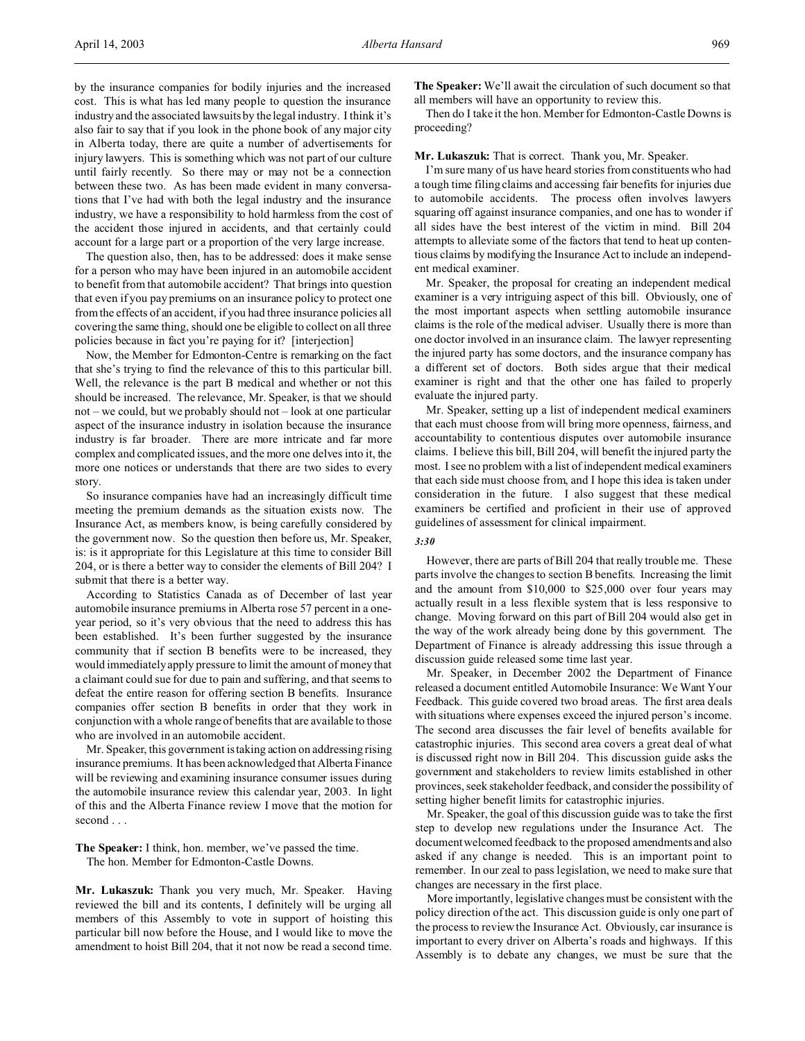by the insurance companies for bodily injuries and the increased cost. This is what has led many people to question the insurance industry and the associated lawsuits by the legal industry. I think it's also fair to say that if you look in the phone book of any major city in Alberta today, there are quite a number of advertisements for injury lawyers. This is something which was not part of our culture until fairly recently. So there may or may not be a connection between these two. As has been made evident in many conversations that I've had with both the legal industry and the insurance industry, we have a responsibility to hold harmless from the cost of the accident those injured in accidents, and that certainly could account for a large part or a proportion of the very large increase.

The question also, then, has to be addressed: does it make sense for a person who may have been injured in an automobile accident to benefit from that automobile accident? That brings into question that even if you pay premiums on an insurance policy to protect one from the effects of an accident, if you had three insurance policies all covering the same thing, should one be eligible to collect on all three policies because in fact you're paying for it? [interjection]

Now, the Member for Edmonton-Centre is remarking on the fact that she's trying to find the relevance of this to this particular bill. Well, the relevance is the part B medical and whether or not this should be increased. The relevance, Mr. Speaker, is that we should not – we could, but we probably should not – look at one particular aspect of the insurance industry in isolation because the insurance industry is far broader. There are more intricate and far more complex and complicated issues, and the more one delves into it, the more one notices or understands that there are two sides to every story.

So insurance companies have had an increasingly difficult time meeting the premium demands as the situation exists now. The Insurance Act, as members know, is being carefully considered by the government now. So the question then before us, Mr. Speaker, is: is it appropriate for this Legislature at this time to consider Bill 204, or is there a better way to consider the elements of Bill 204? I submit that there is a better way.

According to Statistics Canada as of December of last year automobile insurance premiums in Alberta rose 57 percent in a oneyear period, so it's very obvious that the need to address this has been established. It's been further suggested by the insurance community that if section B benefits were to be increased, they would immediately apply pressure to limit the amount of money that a claimant could sue for due to pain and suffering, and that seems to defeat the entire reason for offering section B benefits. Insurance companies offer section B benefits in order that they work in conjunction with a whole range of benefits that are available to those who are involved in an automobile accident.

Mr. Speaker, this government is taking action on addressing rising insurance premiums. It has been acknowledged that Alberta Finance will be reviewing and examining insurance consumer issues during the automobile insurance review this calendar year, 2003. In light of this and the Alberta Finance review I move that the motion for second . . .

# **The Speaker:** I think, hon. member, we've passed the time. The hon. Member for Edmonton-Castle Downs.

**Mr. Lukaszuk:** Thank you very much, Mr. Speaker. Having reviewed the bill and its contents, I definitely will be urging all members of this Assembly to vote in support of hoisting this particular bill now before the House, and I would like to move the amendment to hoist Bill 204, that it not now be read a second time. **The Speaker:** We'll await the circulation of such document so that all members will have an opportunity to review this.

Then do I take it the hon. Member for Edmonton-Castle Downs is proceeding?

#### **Mr. Lukaszuk:** That is correct. Thank you, Mr. Speaker.

I'm sure many of us have heard stories from constituents who had a tough time filing claims and accessing fair benefits for injuries due to automobile accidents. The process often involves lawyers squaring off against insurance companies, and one has to wonder if all sides have the best interest of the victim in mind. Bill 204 attempts to alleviate some of the factors that tend to heat up contentious claims by modifying the Insurance Act to include an independent medical examiner.

Mr. Speaker, the proposal for creating an independent medical examiner is a very intriguing aspect of this bill. Obviously, one of the most important aspects when settling automobile insurance claims is the role of the medical adviser. Usually there is more than one doctor involved in an insurance claim. The lawyer representing the injured party has some doctors, and the insurance company has a different set of doctors. Both sides argue that their medical examiner is right and that the other one has failed to properly evaluate the injured party.

Mr. Speaker, setting up a list of independent medical examiners that each must choose from will bring more openness, fairness, and accountability to contentious disputes over automobile insurance claims. I believe this bill, Bill 204, will benefit the injured party the most. I see no problem with a list of independent medical examiners that each side must choose from, and I hope this idea is taken under consideration in the future. I also suggest that these medical examiners be certified and proficient in their use of approved guidelines of assessment for clinical impairment.

# *3:30*

However, there are parts of Bill 204 that really trouble me. These parts involve the changes to section B benefits. Increasing the limit and the amount from \$10,000 to \$25,000 over four years may actually result in a less flexible system that is less responsive to change. Moving forward on this part of Bill 204 would also get in the way of the work already being done by this government. The Department of Finance is already addressing this issue through a discussion guide released some time last year.

Mr. Speaker, in December 2002 the Department of Finance released a document entitled Automobile Insurance: We Want Your Feedback. This guide covered two broad areas. The first area deals with situations where expenses exceed the injured person's income. The second area discusses the fair level of benefits available for catastrophic injuries. This second area covers a great deal of what is discussed right now in Bill 204. This discussion guide asks the government and stakeholders to review limits established in other provinces, seek stakeholder feedback, and consider the possibility of setting higher benefit limits for catastrophic injuries.

Mr. Speaker, the goal of this discussion guide was to take the first step to develop new regulations under the Insurance Act. The document welcomed feedback to the proposed amendments and also asked if any change is needed. This is an important point to remember. In our zeal to pass legislation, we need to make sure that changes are necessary in the first place.

More importantly, legislative changes must be consistent with the policy direction of the act. This discussion guide is only one part of the process to review the Insurance Act. Obviously, car insurance is important to every driver on Alberta's roads and highways. If this Assembly is to debate any changes, we must be sure that the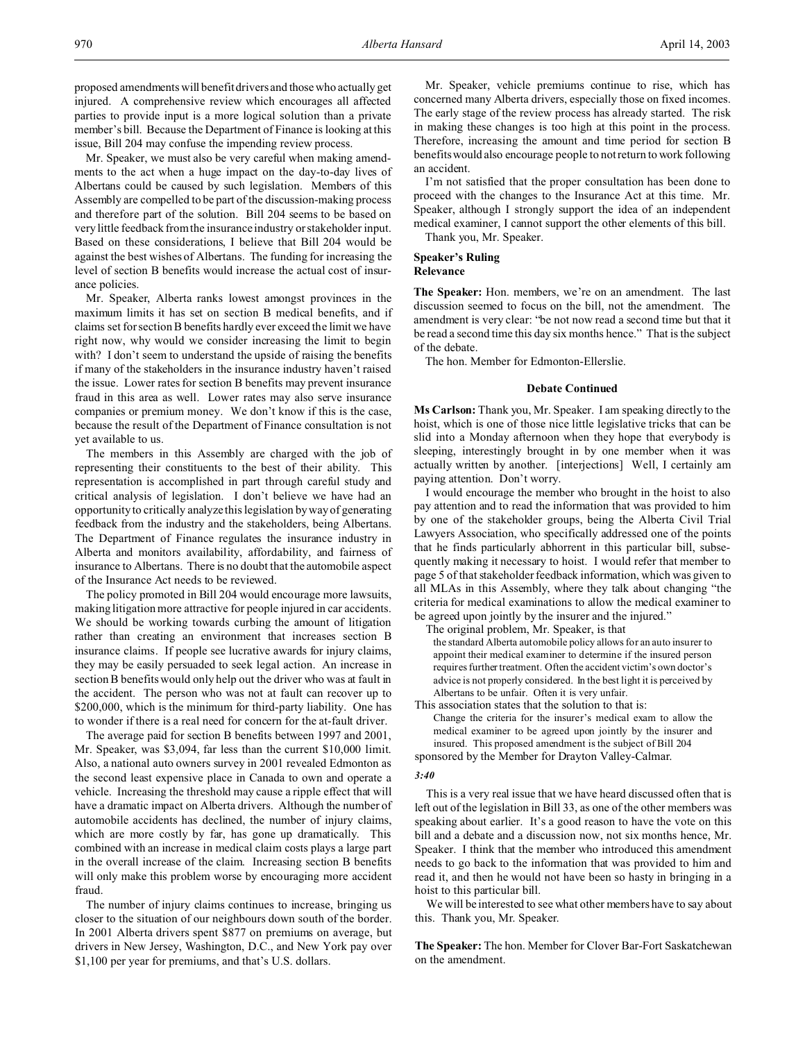proposed amendments will benefit drivers and those who actually get injured. A comprehensive review which encourages all affected parties to provide input is a more logical solution than a private member's bill. Because the Department of Finance is looking at this issue, Bill 204 may confuse the impending review process.

Mr. Speaker, we must also be very careful when making amendments to the act when a huge impact on the day-to-day lives of Albertans could be caused by such legislation. Members of this Assembly are compelled to be part of the discussion-making process and therefore part of the solution. Bill 204 seems to be based on very little feedback from the insurance industry or stakeholder input. Based on these considerations, I believe that Bill 204 would be against the best wishes of Albertans. The funding for increasing the level of section B benefits would increase the actual cost of insurance policies.

Mr. Speaker, Alberta ranks lowest amongst provinces in the maximum limits it has set on section B medical benefits, and if claims set for section B benefits hardly ever exceed the limit we have right now, why would we consider increasing the limit to begin with? I don't seem to understand the upside of raising the benefits if many of the stakeholders in the insurance industry haven't raised the issue. Lower rates for section B benefits may prevent insurance fraud in this area as well. Lower rates may also serve insurance companies or premium money. We don't know if this is the case, because the result of the Department of Finance consultation is not yet available to us.

The members in this Assembly are charged with the job of representing their constituents to the best of their ability. This representation is accomplished in part through careful study and critical analysis of legislation. I don't believe we have had an opportunity to critically analyze this legislation by way of generating feedback from the industry and the stakeholders, being Albertans. The Department of Finance regulates the insurance industry in Alberta and monitors availability, affordability, and fairness of insurance to Albertans. There is no doubt that the automobile aspect of the Insurance Act needs to be reviewed.

The policy promoted in Bill 204 would encourage more lawsuits, making litigation more attractive for people injured in car accidents. We should be working towards curbing the amount of litigation rather than creating an environment that increases section B insurance claims. If people see lucrative awards for injury claims, they may be easily persuaded to seek legal action. An increase in section B benefits would only help out the driver who was at fault in the accident. The person who was not at fault can recover up to \$200,000, which is the minimum for third-party liability. One has to wonder if there is a real need for concern for the at-fault driver.

The average paid for section B benefits between 1997 and 2001, Mr. Speaker, was \$3,094, far less than the current \$10,000 limit. Also, a national auto owners survey in 2001 revealed Edmonton as the second least expensive place in Canada to own and operate a vehicle. Increasing the threshold may cause a ripple effect that will have a dramatic impact on Alberta drivers. Although the number of automobile accidents has declined, the number of injury claims, which are more costly by far, has gone up dramatically. This combined with an increase in medical claim costs plays a large part in the overall increase of the claim. Increasing section B benefits will only make this problem worse by encouraging more accident fraud.

The number of injury claims continues to increase, bringing us closer to the situation of our neighbours down south of the border. In 2001 Alberta drivers spent \$877 on premiums on average, but drivers in New Jersey, Washington, D.C., and New York pay over \$1,100 per year for premiums, and that's U.S. dollars.

Mr. Speaker, vehicle premiums continue to rise, which has concerned many Alberta drivers, especially those on fixed incomes. The early stage of the review process has already started. The risk in making these changes is too high at this point in the process. Therefore, increasing the amount and time period for section B benefits would also encourage people to not return to work following an accident.

I'm not satisfied that the proper consultation has been done to proceed with the changes to the Insurance Act at this time. Mr. Speaker, although I strongly support the idea of an independent medical examiner, I cannot support the other elements of this bill.

Thank you, Mr. Speaker.

# **Speaker's Ruling Relevance**

**The Speaker:** Hon. members, we're on an amendment. The last discussion seemed to focus on the bill, not the amendment. The amendment is very clear: "be not now read a second time but that it be read a second time this day six months hence." That is the subject of the debate.

The hon. Member for Edmonton-Ellerslie.

# **Debate Continued**

**Ms Carlson:** Thank you, Mr. Speaker. I am speaking directly to the hoist, which is one of those nice little legislative tricks that can be slid into a Monday afternoon when they hope that everybody is sleeping, interestingly brought in by one member when it was actually written by another. [interjections] Well, I certainly am paying attention. Don't worry.

I would encourage the member who brought in the hoist to also pay attention and to read the information that was provided to him by one of the stakeholder groups, being the Alberta Civil Trial Lawyers Association, who specifically addressed one of the points that he finds particularly abhorrent in this particular bill, subsequently making it necessary to hoist. I would refer that member to page 5 of that stakeholder feedback information, which was given to all MLAs in this Assembly, where they talk about changing "the criteria for medical examinations to allow the medical examiner to be agreed upon jointly by the insurer and the injured."

The original problem, Mr. Speaker, is that

the standard Alberta automobile policy allows for an auto insurer to appoint their medical examiner to determine if the insured person requires further treatment. Often the accident victim's own doctor's advice is not properly considered. In the best light it is perceived by Albertans to be unfair. Often it is very unfair.

This association states that the solution to that is: Change the criteria for the insurer's medical exam to allow the medical examiner to be agreed upon jointly by the insurer and insured. This proposed amendment is the subject of Bill 204 sponsored by the Member for Drayton Valley-Calmar.

#### *3:40*

This is a very real issue that we have heard discussed often that is left out of the legislation in Bill 33, as one of the other members was speaking about earlier. It's a good reason to have the vote on this bill and a debate and a discussion now, not six months hence, Mr. Speaker. I think that the member who introduced this amendment needs to go back to the information that was provided to him and read it, and then he would not have been so hasty in bringing in a hoist to this particular bill.

We will be interested to see what other members have to say about this. Thank you, Mr. Speaker.

**The Speaker:** The hon. Member for Clover Bar-Fort Saskatchewan on the amendment.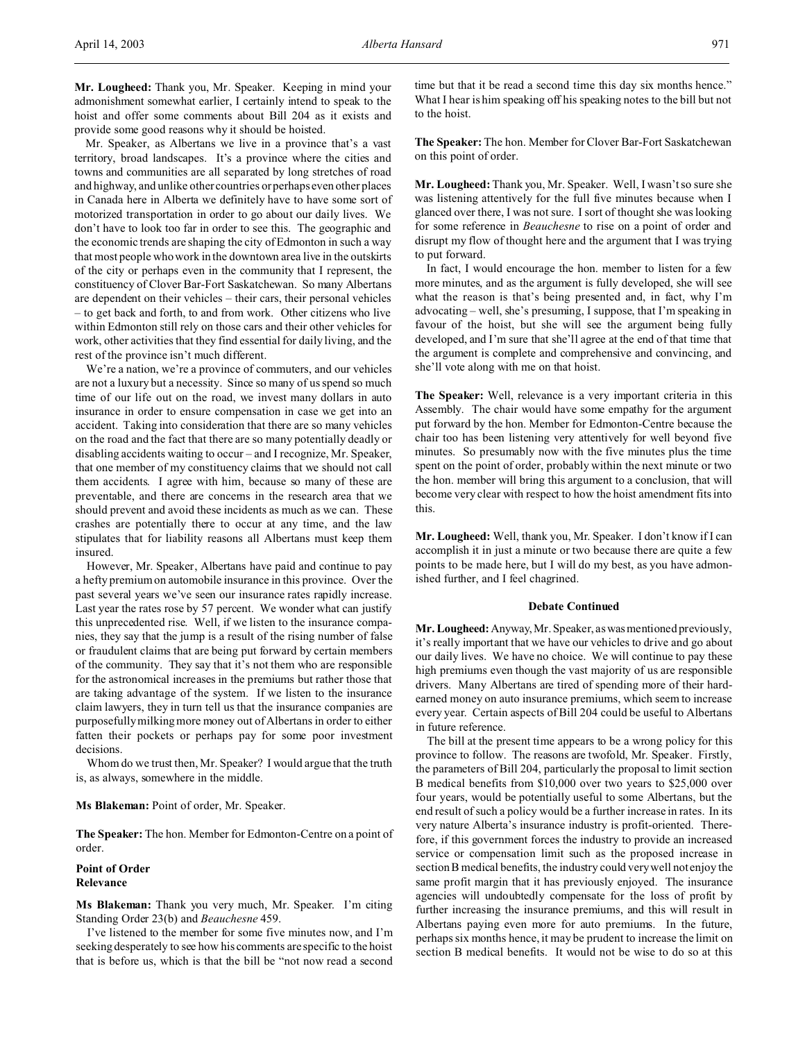**Mr. Lougheed:** Thank you, Mr. Speaker. Keeping in mind your admonishment somewhat earlier, I certainly intend to speak to the hoist and offer some comments about Bill 204 as it exists and provide some good reasons why it should be hoisted.

Mr. Speaker, as Albertans we live in a province that's a vast territory, broad landscapes. It's a province where the cities and towns and communities are all separated by long stretches of road and highway, and unlike other countries or perhaps even other places in Canada here in Alberta we definitely have to have some sort of motorized transportation in order to go about our daily lives. We don't have to look too far in order to see this. The geographic and the economic trends are shaping the city of Edmonton in such a way that most people who work in the downtown area live in the outskirts of the city or perhaps even in the community that I represent, the constituency of Clover Bar-Fort Saskatchewan. So many Albertans are dependent on their vehicles – their cars, their personal vehicles – to get back and forth, to and from work. Other citizens who live within Edmonton still rely on those cars and their other vehicles for work, other activities that they find essential for daily living, and the rest of the province isn't much different.

We're a nation, we're a province of commuters, and our vehicles are not a luxury but a necessity. Since so many of us spend so much time of our life out on the road, we invest many dollars in auto insurance in order to ensure compensation in case we get into an accident. Taking into consideration that there are so many vehicles on the road and the fact that there are so many potentially deadly or disabling accidents waiting to occur – and I recognize, Mr. Speaker, that one member of my constituency claims that we should not call them accidents. I agree with him, because so many of these are preventable, and there are concerns in the research area that we should prevent and avoid these incidents as much as we can. These crashes are potentially there to occur at any time, and the law stipulates that for liability reasons all Albertans must keep them insured.

However, Mr. Speaker, Albertans have paid and continue to pay a hefty premium on automobile insurance in this province. Over the past several years we've seen our insurance rates rapidly increase. Last year the rates rose by 57 percent. We wonder what can justify this unprecedented rise. Well, if we listen to the insurance companies, they say that the jump is a result of the rising number of false or fraudulent claims that are being put forward by certain members of the community. They say that it's not them who are responsible for the astronomical increases in the premiums but rather those that are taking advantage of the system. If we listen to the insurance claim lawyers, they in turn tell us that the insurance companies are purposefully milking more money out of Albertans in order to either fatten their pockets or perhaps pay for some poor investment decisions.

Whom do we trust then, Mr. Speaker? I would argue that the truth is, as always, somewhere in the middle.

## **Ms Blakeman:** Point of order, Mr. Speaker.

**The Speaker:** The hon. Member for Edmonton-Centre on a point of order.

# **Point of Order Relevance**

**Ms Blakeman:** Thank you very much, Mr. Speaker. I'm citing Standing Order 23(b) and *Beauchesne* 459.

I've listened to the member for some five minutes now, and I'm seeking desperately to see how his comments are specific to the hoist that is before us, which is that the bill be "not now read a second

time but that it be read a second time this day six months hence." What I hear is him speaking off his speaking notes to the bill but not to the hoist.

**The Speaker:** The hon. Member for Clover Bar-Fort Saskatchewan on this point of order.

**Mr. Lougheed:** Thank you, Mr. Speaker. Well, I wasn't so sure she was listening attentively for the full five minutes because when I glanced over there, I was not sure. I sort of thought she was looking for some reference in *Beauchesne* to rise on a point of order and disrupt my flow of thought here and the argument that I was trying to put forward.

In fact, I would encourage the hon. member to listen for a few more minutes, and as the argument is fully developed, she will see what the reason is that's being presented and, in fact, why I'm advocating – well, she's presuming, I suppose, that I'm speaking in favour of the hoist, but she will see the argument being fully developed, and I'm sure that she'll agree at the end of that time that the argument is complete and comprehensive and convincing, and she'll vote along with me on that hoist.

**The Speaker:** Well, relevance is a very important criteria in this Assembly. The chair would have some empathy for the argument put forward by the hon. Member for Edmonton-Centre because the chair too has been listening very attentively for well beyond five minutes. So presumably now with the five minutes plus the time spent on the point of order, probably within the next minute or two the hon. member will bring this argument to a conclusion, that will become very clear with respect to how the hoist amendment fits into this.

**Mr. Lougheed:** Well, thank you, Mr. Speaker. I don't know if I can accomplish it in just a minute or two because there are quite a few points to be made here, but I will do my best, as you have admonished further, and I feel chagrined.

#### **Debate Continued**

**Mr. Lougheed:** Anyway, Mr. Speaker, as was mentioned previously, it's really important that we have our vehicles to drive and go about our daily lives. We have no choice. We will continue to pay these high premiums even though the vast majority of us are responsible drivers. Many Albertans are tired of spending more of their hardearned money on auto insurance premiums, which seem to increase every year. Certain aspects of Bill 204 could be useful to Albertans in future reference.

The bill at the present time appears to be a wrong policy for this province to follow. The reasons are twofold, Mr. Speaker. Firstly, the parameters of Bill 204, particularly the proposal to limit section B medical benefits from \$10,000 over two years to \$25,000 over four years, would be potentially useful to some Albertans, but the end result of such a policy would be a further increase in rates. In its very nature Alberta's insurance industry is profit-oriented. Therefore, if this government forces the industry to provide an increased service or compensation limit such as the proposed increase in section B medical benefits, the industry could very well not enjoy the same profit margin that it has previously enjoyed. The insurance agencies will undoubtedly compensate for the loss of profit by further increasing the insurance premiums, and this will result in Albertans paying even more for auto premiums. In the future, perhaps six months hence, it may be prudent to increase the limit on section B medical benefits. It would not be wise to do so at this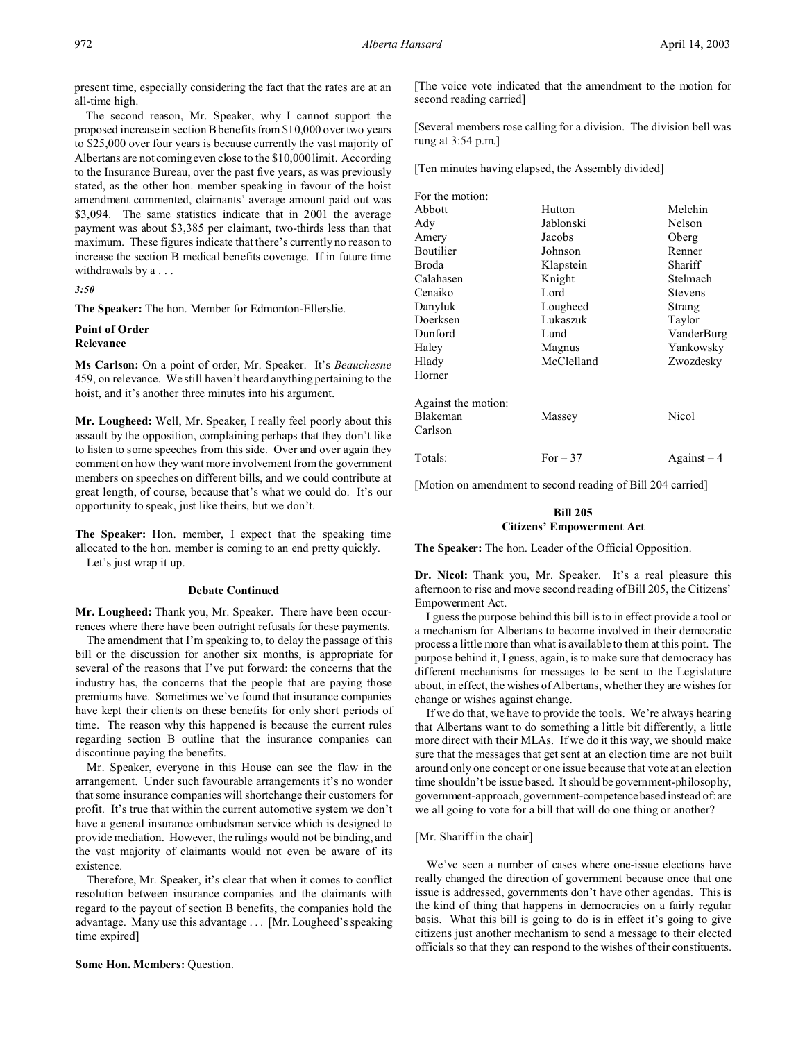present time, especially considering the fact that the rates are at an all-time high.

The second reason, Mr. Speaker, why I cannot support the proposed increase in section B benefits from \$10,000 over two years to \$25,000 over four years is because currently the vast majority of Albertans are not coming even close to the \$10,000 limit. According to the Insurance Bureau, over the past five years, as was previously stated, as the other hon. member speaking in favour of the hoist amendment commented, claimants' average amount paid out was \$3,094. The same statistics indicate that in 2001 the average payment was about \$3,385 per claimant, two-thirds less than that maximum. These figures indicate that there's currently no reason to increase the section B medical benefits coverage. If in future time withdrawals by a . . .

#### *3:50*

**The Speaker:** The hon. Member for Edmonton-Ellerslie.

#### **Point of Order Relevance**

**Ms Carlson:** On a point of order, Mr. Speaker. It's *Beauchesne* 459, on relevance. We still haven't heard anything pertaining to the hoist, and it's another three minutes into his argument.

**Mr. Lougheed:** Well, Mr. Speaker, I really feel poorly about this assault by the opposition, complaining perhaps that they don't like to listen to some speeches from this side. Over and over again they comment on how they want more involvement from the government members on speeches on different bills, and we could contribute at great length, of course, because that's what we could do. It's our opportunity to speak, just like theirs, but we don't.

**The Speaker:** Hon. member, I expect that the speaking time allocated to the hon. member is coming to an end pretty quickly. Let's just wrap it up.

# **Debate Continued**

**Mr. Lougheed:** Thank you, Mr. Speaker. There have been occurrences where there have been outright refusals for these payments.

The amendment that I'm speaking to, to delay the passage of this bill or the discussion for another six months, is appropriate for several of the reasons that I've put forward: the concerns that the industry has, the concerns that the people that are paying those premiums have. Sometimes we've found that insurance companies have kept their clients on these benefits for only short periods of time. The reason why this happened is because the current rules regarding section B outline that the insurance companies can discontinue paying the benefits.

Mr. Speaker, everyone in this House can see the flaw in the arrangement. Under such favourable arrangements it's no wonder that some insurance companies will shortchange their customers for profit. It's true that within the current automotive system we don't have a general insurance ombudsman service which is designed to provide mediation. However, the rulings would not be binding, and the vast majority of claimants would not even be aware of its existence.

Therefore, Mr. Speaker, it's clear that when it comes to conflict resolution between insurance companies and the claimants with regard to the payout of section B benefits, the companies hold the advantage. Many use this advantage . . . [Mr. Lougheed's speaking time expired]

**Some Hon. Members:** Question.

[The voice vote indicated that the amendment to the motion for second reading carried]

[Several members rose calling for a division. The division bell was rung at 3:54 p.m.]

[Ten minutes having elapsed, the Assembly divided]

| For the motion:     |            |                                |
|---------------------|------------|--------------------------------|
| Abbott              | Hutton     | Melchin                        |
| Ady                 | Jablonski  | Nelson                         |
| Amery               | Jacobs     | Oberg                          |
| Boutilier           | Johnson    | Renner                         |
| Broda               | Klapstein  | Shariff                        |
| Calahasen           | Knight     | Stelmach                       |
| Cenaiko             | Lord       | <b>Stevens</b>                 |
| Danyluk             | Lougheed   | Strang                         |
| Doerksen            | Lukaszuk   | Taylor                         |
| Dunford             | Lund       | VanderBurg                     |
| Haley               | Magnus     | Yankowsky                      |
| Hlady               | McClelland | Zwozdesky                      |
| Horner              |            |                                |
| Against the motion: |            |                                |
| Blakeman            | Massey     | Nicol                          |
| Carlson             |            |                                |
| Totals:             | For $-37$  | $\text{Again} \mathbf{st} - 4$ |
|                     |            |                                |

[Motion on amendment to second reading of Bill 204 carried]

# **Bill 205 Citizens' Empowerment Act**

**The Speaker:** The hon. Leader of the Official Opposition.

**Dr. Nicol:** Thank you, Mr. Speaker. It's a real pleasure this afternoon to rise and move second reading of Bill 205, the Citizens' Empowerment Act.

I guess the purpose behind this bill is to in effect provide a tool or a mechanism for Albertans to become involved in their democratic process a little more than what is available to them at this point. The purpose behind it, I guess, again, is to make sure that democracy has different mechanisms for messages to be sent to the Legislature about, in effect, the wishes of Albertans, whether they are wishes for change or wishes against change.

If we do that, we have to provide the tools. We're always hearing that Albertans want to do something a little bit differently, a little more direct with their MLAs. If we do it this way, we should make sure that the messages that get sent at an election time are not built around only one concept or one issue because that vote at an election time shouldn't be issue based. It should be government-philosophy, government-approach, government-competencebased instead of: are we all going to vote for a bill that will do one thing or another?

# [Mr. Shariff in the chair]

We've seen a number of cases where one-issue elections have really changed the direction of government because once that one issue is addressed, governments don't have other agendas. This is the kind of thing that happens in democracies on a fairly regular basis. What this bill is going to do is in effect it's going to give citizens just another mechanism to send a message to their elected officials so that they can respond to the wishes of their constituents.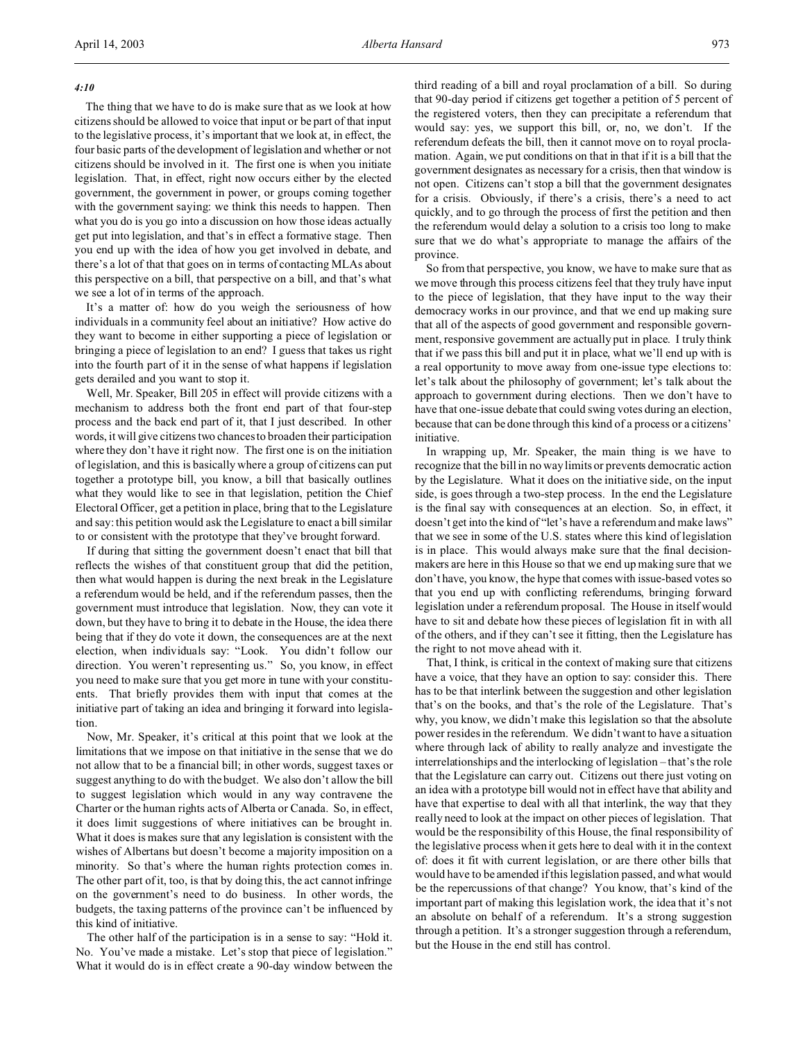# *4:10*

The thing that we have to do is make sure that as we look at how citizens should be allowed to voice that input or be part of that input to the legislative process, it's important that we look at, in effect, the four basic parts of the development of legislation and whether or not citizens should be involved in it. The first one is when you initiate legislation. That, in effect, right now occurs either by the elected government, the government in power, or groups coming together with the government saying: we think this needs to happen. Then what you do is you go into a discussion on how those ideas actually get put into legislation, and that's in effect a formative stage. Then you end up with the idea of how you get involved in debate, and there's a lot of that that goes on in terms of contacting MLAs about this perspective on a bill, that perspective on a bill, and that's what we see a lot of in terms of the approach.

It's a matter of: how do you weigh the seriousness of how individuals in a community feel about an initiative? How active do they want to become in either supporting a piece of legislation or bringing a piece of legislation to an end? I guess that takes us right into the fourth part of it in the sense of what happens if legislation gets derailed and you want to stop it.

Well, Mr. Speaker, Bill 205 in effect will provide citizens with a mechanism to address both the front end part of that four-step process and the back end part of it, that I just described. In other words, it will give citizens two chances to broaden their participation where they don't have it right now. The first one is on the initiation of legislation, and this is basically where a group of citizens can put together a prototype bill, you know, a bill that basically outlines what they would like to see in that legislation, petition the Chief Electoral Officer, get a petition in place, bring that to the Legislature and say: this petition would ask the Legislature to enact a bill similar to or consistent with the prototype that they've brought forward.

If during that sitting the government doesn't enact that bill that reflects the wishes of that constituent group that did the petition, then what would happen is during the next break in the Legislature a referendum would be held, and if the referendum passes, then the government must introduce that legislation. Now, they can vote it down, but they have to bring it to debate in the House, the idea there being that if they do vote it down, the consequences are at the next election, when individuals say: "Look. You didn't follow our direction. You weren't representing us." So, you know, in effect you need to make sure that you get more in tune with your constituents. That briefly provides them with input that comes at the initiative part of taking an idea and bringing it forward into legislation.

Now, Mr. Speaker, it's critical at this point that we look at the limitations that we impose on that initiative in the sense that we do not allow that to be a financial bill; in other words, suggest taxes or suggest anything to do with the budget. We also don't allow the bill to suggest legislation which would in any way contravene the Charter or the human rights acts of Alberta or Canada. So, in effect, it does limit suggestions of where initiatives can be brought in. What it does is makes sure that any legislation is consistent with the wishes of Albertans but doesn't become a majority imposition on a minority. So that's where the human rights protection comes in. The other part of it, too, is that by doing this, the act cannot infringe on the government's need to do business. In other words, the budgets, the taxing patterns of the province can't be influenced by this kind of initiative.

The other half of the participation is in a sense to say: "Hold it. No. You've made a mistake. Let's stop that piece of legislation." What it would do is in effect create a 90-day window between the third reading of a bill and royal proclamation of a bill. So during that 90-day period if citizens get together a petition of 5 percent of the registered voters, then they can precipitate a referendum that would say: yes, we support this bill, or, no, we don't. If the referendum defeats the bill, then it cannot move on to royal proclamation. Again, we put conditions on that in that if it is a bill that the government designates as necessary for a crisis, then that window is not open. Citizens can't stop a bill that the government designates for a crisis. Obviously, if there's a crisis, there's a need to act quickly, and to go through the process of first the petition and then the referendum would delay a solution to a crisis too long to make sure that we do what's appropriate to manage the affairs of the province.

So from that perspective, you know, we have to make sure that as we move through this process citizens feel that they truly have input to the piece of legislation, that they have input to the way their democracy works in our province, and that we end up making sure that all of the aspects of good government and responsible government, responsive government are actually put in place. I truly think that if we pass this bill and put it in place, what we'll end up with is a real opportunity to move away from one-issue type elections to: let's talk about the philosophy of government; let's talk about the approach to government during elections. Then we don't have to have that one-issue debate that could swing votes during an election, because that can be done through this kind of a process or a citizens' initiative.

In wrapping up, Mr. Speaker, the main thing is we have to recognize that the bill in no way limits or prevents democratic action by the Legislature. What it does on the initiative side, on the input side, is goes through a two-step process. In the end the Legislature is the final say with consequences at an election. So, in effect, it doesn't get into the kind of "let's have a referendum and make laws" that we see in some of the U.S. states where this kind of legislation is in place. This would always make sure that the final decisionmakers are here in this House so that we end up making sure that we don't have, you know, the hype that comes with issue-based votes so that you end up with conflicting referendums, bringing forward legislation under a referendum proposal. The House in itself would have to sit and debate how these pieces of legislation fit in with all of the others, and if they can't see it fitting, then the Legislature has the right to not move ahead with it.

That, I think, is critical in the context of making sure that citizens have a voice, that they have an option to say: consider this. There has to be that interlink between the suggestion and other legislation that's on the books, and that's the role of the Legislature. That's why, you know, we didn't make this legislation so that the absolute power resides in the referendum. We didn't want to have a situation where through lack of ability to really analyze and investigate the interrelationships and the interlocking of legislation – that's the role that the Legislature can carry out. Citizens out there just voting on an idea with a prototype bill would not in effect have that ability and have that expertise to deal with all that interlink, the way that they really need to look at the impact on other pieces of legislation. That would be the responsibility of this House, the final responsibility of the legislative process when it gets here to deal with it in the context of: does it fit with current legislation, or are there other bills that would have to be amended if this legislation passed, and what would be the repercussions of that change? You know, that's kind of the important part of making this legislation work, the idea that it's not an absolute on behalf of a referendum. It's a strong suggestion through a petition. It's a stronger suggestion through a referendum, but the House in the end still has control.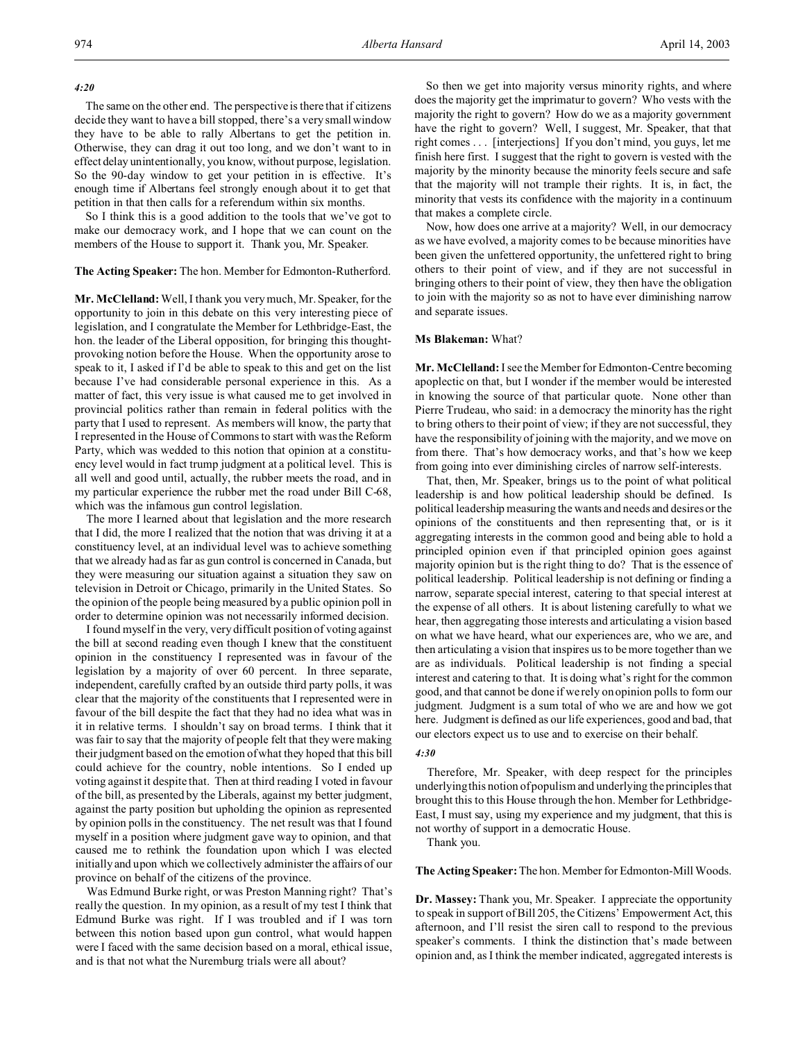#### *4:20*

The same on the other end. The perspective is there that if citizens decide they want to have a bill stopped, there's a very small window they have to be able to rally Albertans to get the petition in. Otherwise, they can drag it out too long, and we don't want to in effect delay unintentionally, you know, without purpose, legislation. So the 90-day window to get your petition in is effective. It's enough time if Albertans feel strongly enough about it to get that petition in that then calls for a referendum within six months.

So I think this is a good addition to the tools that we've got to make our democracy work, and I hope that we can count on the members of the House to support it. Thank you, Mr. Speaker.

#### **The Acting Speaker:** The hon. Member for Edmonton-Rutherford.

**Mr. McClelland:** Well, I thank you very much, Mr. Speaker, for the opportunity to join in this debate on this very interesting piece of legislation, and I congratulate the Member for Lethbridge-East, the hon. the leader of the Liberal opposition, for bringing this thoughtprovoking notion before the House. When the opportunity arose to speak to it, I asked if I'd be able to speak to this and get on the list because I've had considerable personal experience in this. As a matter of fact, this very issue is what caused me to get involved in provincial politics rather than remain in federal politics with the party that I used to represent. As members will know, the party that I represented in the House of Commons to start with was the Reform Party, which was wedded to this notion that opinion at a constituency level would in fact trump judgment at a political level. This is all well and good until, actually, the rubber meets the road, and in my particular experience the rubber met the road under Bill C-68, which was the infamous gun control legislation.

The more I learned about that legislation and the more research that I did, the more I realized that the notion that was driving it at a constituency level, at an individual level was to achieve something that we already had as far as gun control is concerned in Canada, but they were measuring our situation against a situation they saw on television in Detroit or Chicago, primarily in the United States. So the opinion of the people being measured by a public opinion poll in order to determine opinion was not necessarily informed decision.

I found myself in the very, very difficult position of voting against the bill at second reading even though I knew that the constituent opinion in the constituency I represented was in favour of the legislation by a majority of over 60 percent. In three separate, independent, carefully crafted by an outside third party polls, it was clear that the majority of the constituents that I represented were in favour of the bill despite the fact that they had no idea what was in it in relative terms. I shouldn't say on broad terms. I think that it was fair to say that the majority of people felt that they were making their judgment based on the emotion of what they hoped that this bill could achieve for the country, noble intentions. So I ended up voting against it despite that. Then at third reading I voted in favour of the bill, as presented by the Liberals, against my better judgment, against the party position but upholding the opinion as represented by opinion polls in the constituency. The net result was that I found myself in a position where judgment gave way to opinion, and that caused me to rethink the foundation upon which I was elected initially and upon which we collectively administer the affairs of our province on behalf of the citizens of the province.

Was Edmund Burke right, or was Preston Manning right? That's really the question. In my opinion, as a result of my test I think that Edmund Burke was right. If I was troubled and if I was torn between this notion based upon gun control, what would happen were I faced with the same decision based on a moral, ethical issue, and is that not what the Nuremburg trials were all about?

So then we get into majority versus minority rights, and where does the majority get the imprimatur to govern? Who vests with the majority the right to govern? How do we as a majority government have the right to govern? Well, I suggest, Mr. Speaker, that that right comes . . . [interjections] If you don't mind, you guys, let me finish here first. I suggest that the right to govern is vested with the majority by the minority because the minority feels secure and safe that the majority will not trample their rights. It is, in fact, the minority that vests its confidence with the majority in a continuum that makes a complete circle.

Now, how does one arrive at a majority? Well, in our democracy as we have evolved, a majority comes to be because minorities have been given the unfettered opportunity, the unfettered right to bring others to their point of view, and if they are not successful in bringing others to their point of view, they then have the obligation to join with the majority so as not to have ever diminishing narrow and separate issues.

#### **Ms Blakeman:** What?

**Mr. McClelland:** I see the Member for Edmonton-Centre becoming apoplectic on that, but I wonder if the member would be interested in knowing the source of that particular quote. None other than Pierre Trudeau, who said: in a democracy the minority has the right to bring others to their point of view; if they are not successful, they have the responsibility of joining with the majority, and we move on from there. That's how democracy works, and that's how we keep from going into ever diminishing circles of narrow self-interests.

That, then, Mr. Speaker, brings us to the point of what political leadership is and how political leadership should be defined. Is political leadership measuring the wants and needs and desires or the opinions of the constituents and then representing that, or is it aggregating interests in the common good and being able to hold a principled opinion even if that principled opinion goes against majority opinion but is the right thing to do? That is the essence of political leadership. Political leadership is not defining or finding a narrow, separate special interest, catering to that special interest at the expense of all others. It is about listening carefully to what we hear, then aggregating those interests and articulating a vision based on what we have heard, what our experiences are, who we are, and then articulating a vision that inspires us to be more together than we are as individuals. Political leadership is not finding a special interest and catering to that. It is doing what's right for the common good, and that cannot be done if we rely on opinion polls to form our judgment. Judgment is a sum total of who we are and how we got here. Judgment is defined as our life experiences, good and bad, that our electors expect us to use and to exercise on their behalf.

# *4:30*

Therefore, Mr. Speaker, with deep respect for the principles underlying this notion of populism and underlying the principles that brought this to this House through the hon. Member for Lethbridge-East, I must say, using my experience and my judgment, that this is not worthy of support in a democratic House.

Thank you.

**The Acting Speaker:** The hon. Member for Edmonton-Mill Woods.

**Dr. Massey:** Thank you, Mr. Speaker. I appreciate the opportunity to speak in support of Bill 205, the Citizens' Empowerment Act, this afternoon, and I'll resist the siren call to respond to the previous speaker's comments. I think the distinction that's made between opinion and, as I think the member indicated, aggregated interests is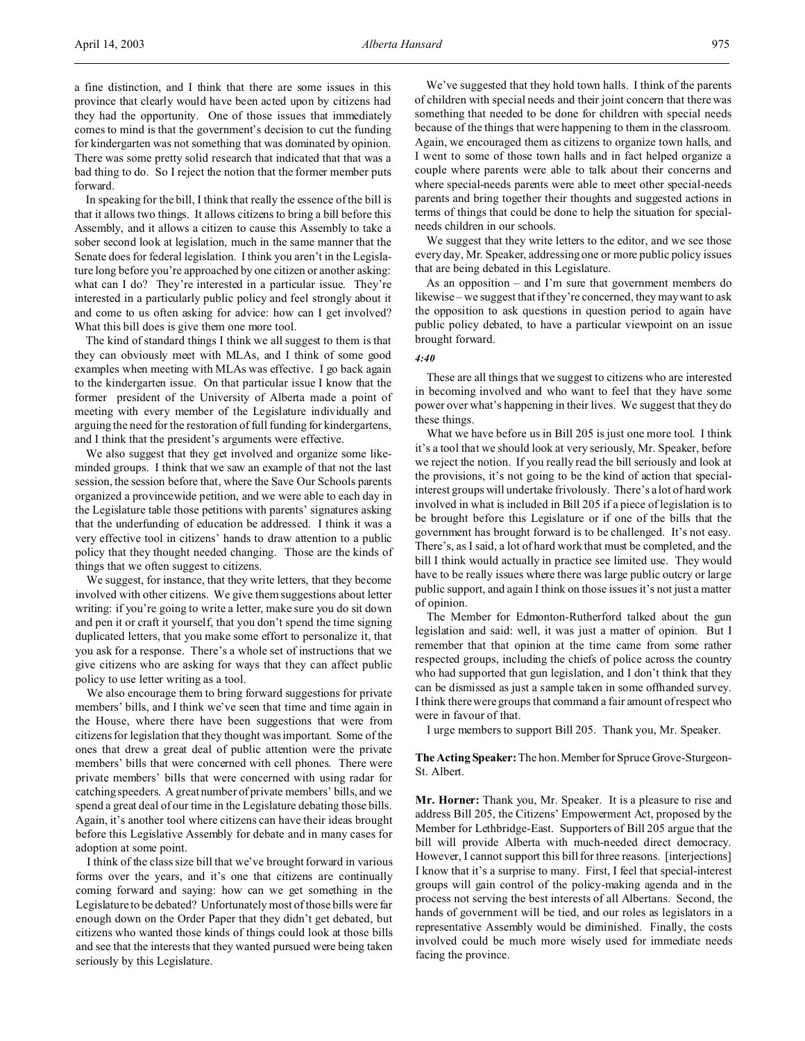a fine distinction, and I think that there are some issues in this province that clearly would have been acted upon by citizens had they had the opportunity. One of those issues that immediately comes to mind is that the government's decision to cut the funding for kindergarten was not something that was dominated by opinion. There was some pretty solid research that indicated that that was a bad thing to do. So I reject the notion that the former member puts forward.

In speaking for the bill, I think that really the essence of the bill is that it allows two things. It allows citizens to bring a bill before this Assembly, and it allows a citizen to cause this Assembly to take a sober second look at legislation, much in the same manner that the Senate does for federal legislation. I think you aren't in the Legislature long before you're approached by one citizen or another asking: what can I do? They're interested in a particular issue. They're interested in a particularly public policy and feel strongly about it and come to us often asking for advice: how can I get involved? What this bill does is give them one more tool.

The kind of standard things I think we all suggest to them is that they can obviously meet with MLAs, and I think of some good examples when meeting with MLAs was effective. I go back again to the kindergarten issue. On that particular issue I know that the former president of the University of Alberta made a point of meeting with every member of the Legislature individually and arguing the need for the restoration of full funding for kindergartens, and I think that the president's arguments were effective.

We also suggest that they get involved and organize some likeminded groups. I think that we saw an example of that not the last session, the session before that, where the Save Our Schools parents organized a provincewide petition, and we were able to each day in the Legislature table those petitions with parents' signatures asking that the underfunding of education be addressed. I think it was a very effective tool in citizens' hands to draw attention to a public policy that they thought needed changing. Those are the kinds of things that we often suggest to citizens.

We suggest, for instance, that they write letters, that they become involved with other citizens. We give them suggestions about letter writing: if you're going to write a letter, make sure you do sit down and pen it or craft it yourself, that you don't spend the time signing duplicated letters, that you make some effort to personalize it, that you ask for a response. There's a whole set of instructions that we give citizens who are asking for ways that they can affect public policy to use letter writing as a tool.

We also encourage them to bring forward suggestions for private members' bills, and I think we've seen that time and time again in the House, where there have been suggestions that were from citizens for legislation that they thought was important. Some of the ones that drew a great deal of public attention were the private members' bills that were concerned with cell phones. There were private members' bills that were concerned with using radar for catching speeders. A great number of private members' bills, and we spend a great deal of our time in the Legislature debating those bills. Again, it's another tool where citizens can have their ideas brought before this Legislative Assembly for debate and in many cases for adoption at some point.

I think of the class size bill that we've brought forward in various forms over the years, and it's one that citizens are continually coming forward and saying: how can we get something in the Legislature to be debated? Unfortunately most of those bills were far enough down on the Order Paper that they didn't get debated, but citizens who wanted those kinds of things could look at those bills and see that the interests that they wanted pursued were being taken seriously by this Legislature.

We've suggested that they hold town halls. I think of the parents of children with special needs and their joint concern that there was something that needed to be done for children with special needs because of the things that were happening to them in the classroom. Again, we encouraged them as citizens to organize town halls, and I went to some of those town halls and in fact helped organize a couple where parents were able to talk about their concerns and where special-needs parents were able to meet other special-needs parents and bring together their thoughts and suggested actions in terms of things that could be done to help the situation for specialneeds children in our schools.

We suggest that they write letters to the editor, and we see those every day, Mr. Speaker, addressing one or more public policy issues that are being debated in this Legislature.

As an opposition – and I'm sure that government members do likewise – we suggest that if they're concerned, they may want to ask the opposition to ask questions in question period to again have public policy debated, to have a particular viewpoint on an issue brought forward.

#### *4:40*

These are all things that we suggest to citizens who are interested in becoming involved and who want to feel that they have some power over what's happening in their lives. We suggest that they do these things.

What we have before us in Bill 205 is just one more tool. I think it's a tool that we should look at very seriously, Mr. Speaker, before we reject the notion. If you really read the bill seriously and look at the provisions, it's not going to be the kind of action that specialinterest groups will undertake frivolously. There's a lot of hard work involved in what is included in Bill 205 if a piece of legislation is to be brought before this Legislature or if one of the bills that the government has brought forward is to be challenged. It's not easy. There's, as I said, a lot of hard work that must be completed, and the bill I think would actually in practice see limited use. They would have to be really issues where there was large public outcry or large public support, and again I think on those issues it's not just a matter of opinion.

The Member for Edmonton-Rutherford talked about the gun legislation and said: well, it was just a matter of opinion. But I remember that that opinion at the time came from some rather respected groups, including the chiefs of police across the country who had supported that gun legislation, and I don't think that they can be dismissed as just a sample taken in some offhanded survey. I think there were groups that command a fair amount of respect who were in favour of that.

I urge members to support Bill 205. Thank you, Mr. Speaker.

**The Acting Speaker:** The hon. Memberfor Spruce Grove-Sturgeon-St. Albert.

**Mr. Horner:** Thank you, Mr. Speaker. It is a pleasure to rise and address Bill 205, the Citizens' Empowerment Act, proposed by the Member for Lethbridge-East. Supporters of Bill 205 argue that the bill will provide Alberta with much-needed direct democracy. However, I cannot support this bill for three reasons. [interjections] I know that it's a surprise to many. First, I feel that special-interest groups will gain control of the policy-making agenda and in the process not serving the best interests of all Albertans. Second, the hands of government will be tied, and our roles as legislators in a representative Assembly would be diminished. Finally, the costs involved could be much more wisely used for immediate needs facing the province.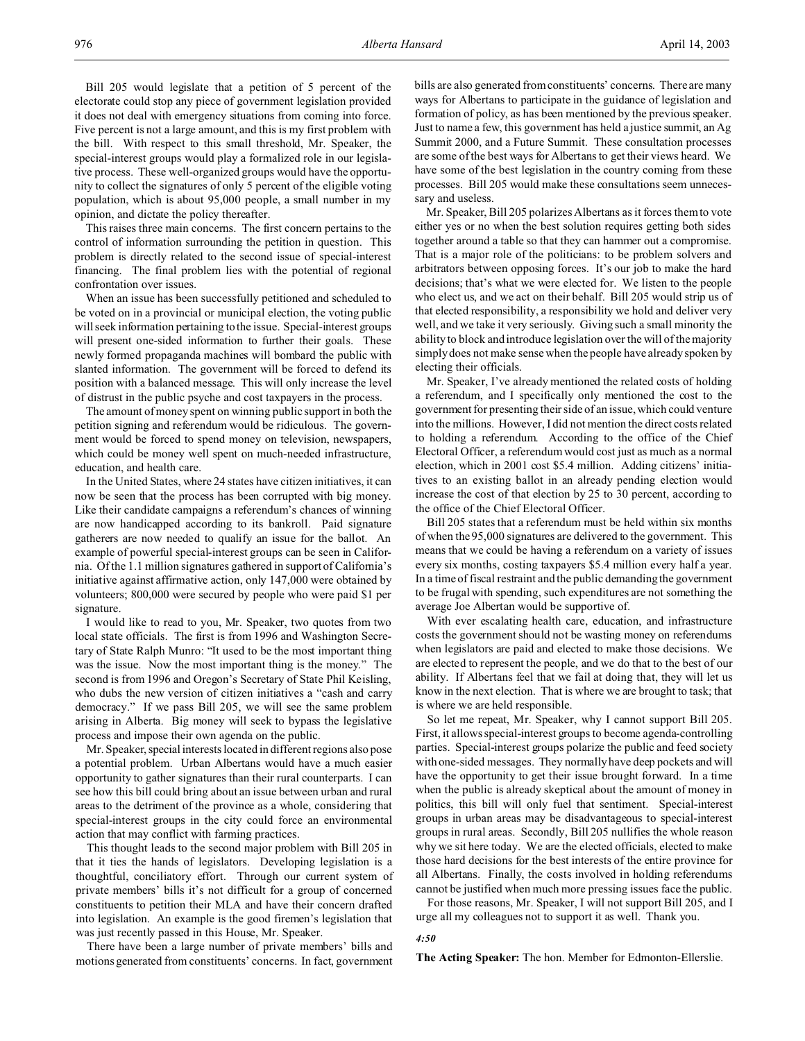Bill 205 would legislate that a petition of 5 percent of the electorate could stop any piece of government legislation provided it does not deal with emergency situations from coming into force. Five percent is not a large amount, and this is my first problem with the bill. With respect to this small threshold, Mr. Speaker, the special-interest groups would play a formalized role in our legislative process. These well-organized groups would have the opportunity to collect the signatures of only 5 percent of the eligible voting population, which is about 95,000 people, a small number in my opinion, and dictate the policy thereafter.

This raises three main concerns. The first concern pertains to the control of information surrounding the petition in question. This problem is directly related to the second issue of special-interest financing. The final problem lies with the potential of regional confrontation over issues.

When an issue has been successfully petitioned and scheduled to be voted on in a provincial or municipal election, the voting public will seek information pertaining to the issue. Special-interest groups will present one-sided information to further their goals. These newly formed propaganda machines will bombard the public with slanted information. The government will be forced to defend its position with a balanced message. This will only increase the level of distrust in the public psyche and cost taxpayers in the process.

The amount of money spent on winning public support in both the petition signing and referendum would be ridiculous. The government would be forced to spend money on television, newspapers, which could be money well spent on much-needed infrastructure, education, and health care.

In the United States, where 24 states have citizen initiatives, it can now be seen that the process has been corrupted with big money. Like their candidate campaigns a referendum's chances of winning are now handicapped according to its bankroll. Paid signature gatherers are now needed to qualify an issue for the ballot. An example of powerful special-interest groups can be seen in California. Of the 1.1 million signatures gathered in support of California's initiative against affirmative action, only 147,000 were obtained by volunteers; 800,000 were secured by people who were paid \$1 per signature.

I would like to read to you, Mr. Speaker, two quotes from two local state officials. The first is from 1996 and Washington Secretary of State Ralph Munro: "It used to be the most important thing was the issue. Now the most important thing is the money." The second is from 1996 and Oregon's Secretary of State Phil Keisling, who dubs the new version of citizen initiatives a "cash and carry democracy." If we pass Bill 205, we will see the same problem arising in Alberta. Big money will seek to bypass the legislative process and impose their own agenda on the public.

Mr. Speaker, special interests located in different regions also pose a potential problem. Urban Albertans would have a much easier opportunity to gather signatures than their rural counterparts. I can see how this bill could bring about an issue between urban and rural areas to the detriment of the province as a whole, considering that special-interest groups in the city could force an environmental action that may conflict with farming practices.

This thought leads to the second major problem with Bill 205 in that it ties the hands of legislators. Developing legislation is a thoughtful, conciliatory effort. Through our current system of private members' bills it's not difficult for a group of concerned constituents to petition their MLA and have their concern drafted into legislation. An example is the good firemen's legislation that was just recently passed in this House, Mr. Speaker.

There have been a large number of private members' bills and motions generated from constituents' concerns. In fact, government bills are also generated from constituents' concerns. There are many ways for Albertans to participate in the guidance of legislation and formation of policy, as has been mentioned by the previous speaker. Just to name a few, this government has held a justice summit, an Ag Summit 2000, and a Future Summit. These consultation processes are some of the best ways for Albertans to get their views heard. We have some of the best legislation in the country coming from these processes. Bill 205 would make these consultations seem unnecessary and useless.

Mr. Speaker, Bill 205 polarizes Albertans as it forces them to vote either yes or no when the best solution requires getting both sides together around a table so that they can hammer out a compromise. That is a major role of the politicians: to be problem solvers and arbitrators between opposing forces. It's our job to make the hard decisions; that's what we were elected for. We listen to the people who elect us, and we act on their behalf. Bill 205 would strip us of that elected responsibility, a responsibility we hold and deliver very well, and we take it very seriously. Giving such a small minority the ability to block and introduce legislation over the will of the majority simply does not make sense when the people have already spoken by electing their officials.

Mr. Speaker, I've already mentioned the related costs of holding a referendum, and I specifically only mentioned the cost to the government for presenting their side of an issue, which could venture into the millions. However, I did not mention the direct costs related to holding a referendum. According to the office of the Chief Electoral Officer, a referendum would cost just as much as a normal election, which in 2001 cost \$5.4 million. Adding citizens' initiatives to an existing ballot in an already pending election would increase the cost of that election by 25 to 30 percent, according to the office of the Chief Electoral Officer.

Bill 205 states that a referendum must be held within six months of when the 95,000 signatures are delivered to the government. This means that we could be having a referendum on a variety of issues every six months, costing taxpayers \$5.4 million every half a year. In a time of fiscal restraint and the public demanding the government to be frugal with spending, such expenditures are not something the average Joe Albertan would be supportive of.

With ever escalating health care, education, and infrastructure costs the government should not be wasting money on referendums when legislators are paid and elected to make those decisions. We are elected to represent the people, and we do that to the best of our ability. If Albertans feel that we fail at doing that, they will let us know in the next election. That is where we are brought to task; that is where we are held responsible.

So let me repeat, Mr. Speaker, why I cannot support Bill 205. First, it allows special-interest groups to become agenda-controlling parties. Special-interest groups polarize the public and feed society with one-sided messages. They normally have deep pockets and will have the opportunity to get their issue brought forward. In a time when the public is already skeptical about the amount of money in politics, this bill will only fuel that sentiment. Special-interest groups in urban areas may be disadvantageous to special-interest groups in rural areas. Secondly, Bill 205 nullifies the whole reason why we sit here today. We are the elected officials, elected to make those hard decisions for the best interests of the entire province for all Albertans. Finally, the costs involved in holding referendums cannot be justified when much more pressing issues face the public.

For those reasons, Mr. Speaker, I will not support Bill 205, and I urge all my colleagues not to support it as well. Thank you.

## *4:50*

**The Acting Speaker:** The hon. Member for Edmonton-Ellerslie.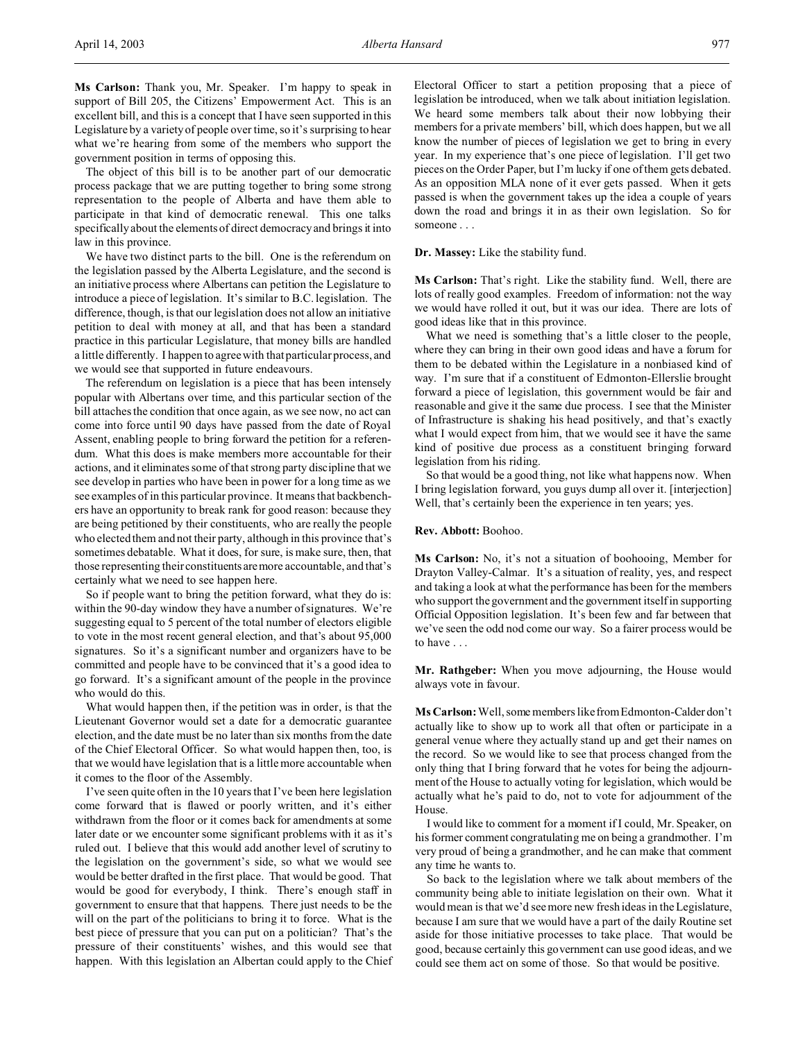**Ms Carlson:** Thank you, Mr. Speaker. I'm happy to speak in support of Bill 205, the Citizens' Empowerment Act. This is an excellent bill, and this is a concept that I have seen supported in this Legislature by a variety of people over time, so it's surprising to hear what we're hearing from some of the members who support the government position in terms of opposing this.

The object of this bill is to be another part of our democratic process package that we are putting together to bring some strong representation to the people of Alberta and have them able to participate in that kind of democratic renewal. This one talks specifically about the elements of direct democracy and brings it into law in this province.

We have two distinct parts to the bill. One is the referendum on the legislation passed by the Alberta Legislature, and the second is an initiative process where Albertans can petition the Legislature to introduce a piece of legislation. It's similar to B.C. legislation. The difference, though, is that our legislation does not allow an initiative petition to deal with money at all, and that has been a standard practice in this particular Legislature, that money bills are handled a little differently. I happen to agree with that particular process, and we would see that supported in future endeavours.

The referendum on legislation is a piece that has been intensely popular with Albertans over time, and this particular section of the bill attaches the condition that once again, as we see now, no act can come into force until 90 days have passed from the date of Royal Assent, enabling people to bring forward the petition for a referendum. What this does is make members more accountable for their actions, and it eliminates some of that strong party discipline that we see develop in parties who have been in power for a long time as we see examples of in this particular province. It means that backbenchers have an opportunity to break rank for good reason: because they are being petitioned by their constituents, who are really the people who elected them and not their party, although in this province that's sometimes debatable. What it does, for sure, is make sure, then, that those representing their constituents aremore accountable, and that's certainly what we need to see happen here.

So if people want to bring the petition forward, what they do is: within the 90-day window they have a number of signatures. We're suggesting equal to 5 percent of the total number of electors eligible to vote in the most recent general election, and that's about 95,000 signatures. So it's a significant number and organizers have to be committed and people have to be convinced that it's a good idea to go forward. It's a significant amount of the people in the province who would do this.

What would happen then, if the petition was in order, is that the Lieutenant Governor would set a date for a democratic guarantee election, and the date must be no later than six months from the date of the Chief Electoral Officer. So what would happen then, too, is that we would have legislation that is a little more accountable when it comes to the floor of the Assembly.

I've seen quite often in the 10 years that I've been here legislation come forward that is flawed or poorly written, and it's either withdrawn from the floor or it comes back for amendments at some later date or we encounter some significant problems with it as it's ruled out. I believe that this would add another level of scrutiny to the legislation on the government's side, so what we would see would be better drafted in the first place. That would be good. That would be good for everybody, I think. There's enough staff in government to ensure that that happens. There just needs to be the will on the part of the politicians to bring it to force. What is the best piece of pressure that you can put on a politician? That's the pressure of their constituents' wishes, and this would see that happen. With this legislation an Albertan could apply to the Chief Electoral Officer to start a petition proposing that a piece of legislation be introduced, when we talk about initiation legislation. We heard some members talk about their now lobbying their members for a private members' bill, which does happen, but we all know the number of pieces of legislation we get to bring in every year. In my experience that's one piece of legislation. I'll get two pieces on the Order Paper, but I'm lucky if one of them gets debated. As an opposition MLA none of it ever gets passed. When it gets passed is when the government takes up the idea a couple of years down the road and brings it in as their own legislation. So for someone . . .

### **Dr. Massey:** Like the stability fund.

**Ms Carlson:** That's right. Like the stability fund. Well, there are lots of really good examples. Freedom of information: not the way we would have rolled it out, but it was our idea. There are lots of good ideas like that in this province.

What we need is something that's a little closer to the people, where they can bring in their own good ideas and have a forum for them to be debated within the Legislature in a nonbiased kind of way. I'm sure that if a constituent of Edmonton-Ellerslie brought forward a piece of legislation, this government would be fair and reasonable and give it the same due process. I see that the Minister of Infrastructure is shaking his head positively, and that's exactly what I would expect from him, that we would see it have the same kind of positive due process as a constituent bringing forward legislation from his riding.

So that would be a good thing, not like what happens now. When I bring legislation forward, you guys dump all over it. [interjection] Well, that's certainly been the experience in ten years; yes.

## **Rev. Abbott:** Boohoo.

**Ms Carlson:** No, it's not a situation of boohooing, Member for Drayton Valley-Calmar. It's a situation of reality, yes, and respect and taking a look at what the performance has been for the members who support the government and the government itself in supporting Official Opposition legislation. It's been few and far between that we've seen the odd nod come our way. So a fairer process would be to have . . .

**Mr. Rathgeber:** When you move adjourning, the House would always vote in favour.

**Ms Carlson:** Well, some members like from Edmonton-Calder don't actually like to show up to work all that often or participate in a general venue where they actually stand up and get their names on the record. So we would like to see that process changed from the only thing that I bring forward that he votes for being the adjournment of the House to actually voting for legislation, which would be actually what he's paid to do, not to vote for adjournment of the House.

I would like to comment for a moment if I could, Mr. Speaker, on his former comment congratulating me on being a grandmother. I'm very proud of being a grandmother, and he can make that comment any time he wants to.

So back to the legislation where we talk about members of the community being able to initiate legislation on their own. What it would mean is that we'd see more new fresh ideas in the Legislature, because I am sure that we would have a part of the daily Routine set aside for those initiative processes to take place. That would be good, because certainly this government can use good ideas, and we could see them act on some of those. So that would be positive.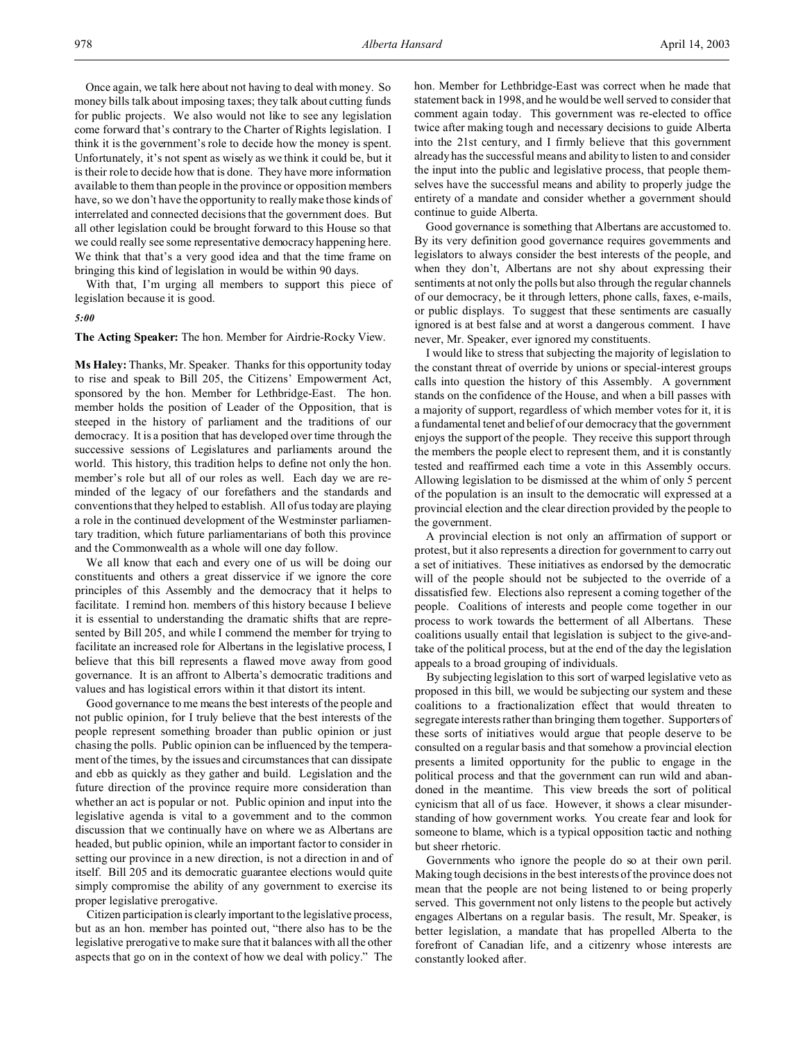Once again, we talk here about not having to deal with money. So money bills talk about imposing taxes; they talk about cutting funds for public projects. We also would not like to see any legislation come forward that's contrary to the Charter of Rights legislation. I think it is the government's role to decide how the money is spent. Unfortunately, it's not spent as wisely as we think it could be, but it is their role to decide how that is done. They have more information available to them than people in the province or opposition members have, so we don't have the opportunity to really make those kinds of interrelated and connected decisions that the government does. But all other legislation could be brought forward to this House so that we could really see some representative democracy happening here. We think that that's a very good idea and that the time frame on bringing this kind of legislation in would be within 90 days.

With that, I'm urging all members to support this piece of legislation because it is good.

## *5:00*

**The Acting Speaker:** The hon. Member for Airdrie-Rocky View.

**Ms Haley:** Thanks, Mr. Speaker. Thanks for this opportunity today to rise and speak to Bill 205, the Citizens' Empowerment Act, sponsored by the hon. Member for Lethbridge-East. The hon. member holds the position of Leader of the Opposition, that is steeped in the history of parliament and the traditions of our democracy. It is a position that has developed over time through the successive sessions of Legislatures and parliaments around the world. This history, this tradition helps to define not only the hon. member's role but all of our roles as well. Each day we are reminded of the legacy of our forefathers and the standards and conventions that they helped to establish. All of us today are playing a role in the continued development of the Westminster parliamentary tradition, which future parliamentarians of both this province and the Commonwealth as a whole will one day follow.

We all know that each and every one of us will be doing our constituents and others a great disservice if we ignore the core principles of this Assembly and the democracy that it helps to facilitate. I remind hon. members of this history because I believe it is essential to understanding the dramatic shifts that are represented by Bill 205, and while I commend the member for trying to facilitate an increased role for Albertans in the legislative process, I believe that this bill represents a flawed move away from good governance. It is an affront to Alberta's democratic traditions and values and has logistical errors within it that distort its intent.

Good governance to me means the best interests of the people and not public opinion, for I truly believe that the best interests of the people represent something broader than public opinion or just chasing the polls. Public opinion can be influenced by the temperament of the times, by the issues and circumstances that can dissipate and ebb as quickly as they gather and build. Legislation and the future direction of the province require more consideration than whether an act is popular or not. Public opinion and input into the legislative agenda is vital to a government and to the common discussion that we continually have on where we as Albertans are headed, but public opinion, while an important factor to consider in setting our province in a new direction, is not a direction in and of itself. Bill 205 and its democratic guarantee elections would quite simply compromise the ability of any government to exercise its proper legislative prerogative.

Citizen participation is clearly important to the legislative process, but as an hon. member has pointed out, "there also has to be the legislative prerogative to make sure that it balances with all the other aspects that go on in the context of how we deal with policy." The hon. Member for Lethbridge-East was correct when he made that statement back in 1998, and he would be well served to consider that comment again today. This government was re-elected to office twice after making tough and necessary decisions to guide Alberta into the 21st century, and I firmly believe that this government already has the successful means and ability to listen to and consider the input into the public and legislative process, that people themselves have the successful means and ability to properly judge the entirety of a mandate and consider whether a government should continue to guide Alberta.

Good governance is something that Albertans are accustomed to. By its very definition good governance requires governments and legislators to always consider the best interests of the people, and when they don't, Albertans are not shy about expressing their sentiments at not only the polls but also through the regular channels of our democracy, be it through letters, phone calls, faxes, e-mails, or public displays. To suggest that these sentiments are casually ignored is at best false and at worst a dangerous comment. I have never, Mr. Speaker, ever ignored my constituents.

I would like to stress that subjecting the majority of legislation to the constant threat of override by unions or special-interest groups calls into question the history of this Assembly. A government stands on the confidence of the House, and when a bill passes with a majority of support, regardless of which member votes for it, it is a fundamental tenet and belief of our democracy that the government enjoys the support of the people. They receive this support through the members the people elect to represent them, and it is constantly tested and reaffirmed each time a vote in this Assembly occurs. Allowing legislation to be dismissed at the whim of only 5 percent of the population is an insult to the democratic will expressed at a provincial election and the clear direction provided by the people to the government.

A provincial election is not only an affirmation of support or protest, but it also represents a direction for government to carry out a set of initiatives. These initiatives as endorsed by the democratic will of the people should not be subjected to the override of a dissatisfied few. Elections also represent a coming together of the people. Coalitions of interests and people come together in our process to work towards the betterment of all Albertans. These coalitions usually entail that legislation is subject to the give-andtake of the political process, but at the end of the day the legislation appeals to a broad grouping of individuals.

By subjecting legislation to this sort of warped legislative veto as proposed in this bill, we would be subjecting our system and these coalitions to a fractionalization effect that would threaten to segregate interests rather than bringing them together. Supporters of these sorts of initiatives would argue that people deserve to be consulted on a regular basis and that somehow a provincial election presents a limited opportunity for the public to engage in the political process and that the government can run wild and abandoned in the meantime. This view breeds the sort of political cynicism that all of us face. However, it shows a clear misunderstanding of how government works. You create fear and look for someone to blame, which is a typical opposition tactic and nothing but sheer rhetoric.

Governments who ignore the people do so at their own peril. Making tough decisions in the best interests of the province does not mean that the people are not being listened to or being properly served. This government not only listens to the people but actively engages Albertans on a regular basis. The result, Mr. Speaker, is better legislation, a mandate that has propelled Alberta to the forefront of Canadian life, and a citizenry whose interests are constantly looked after.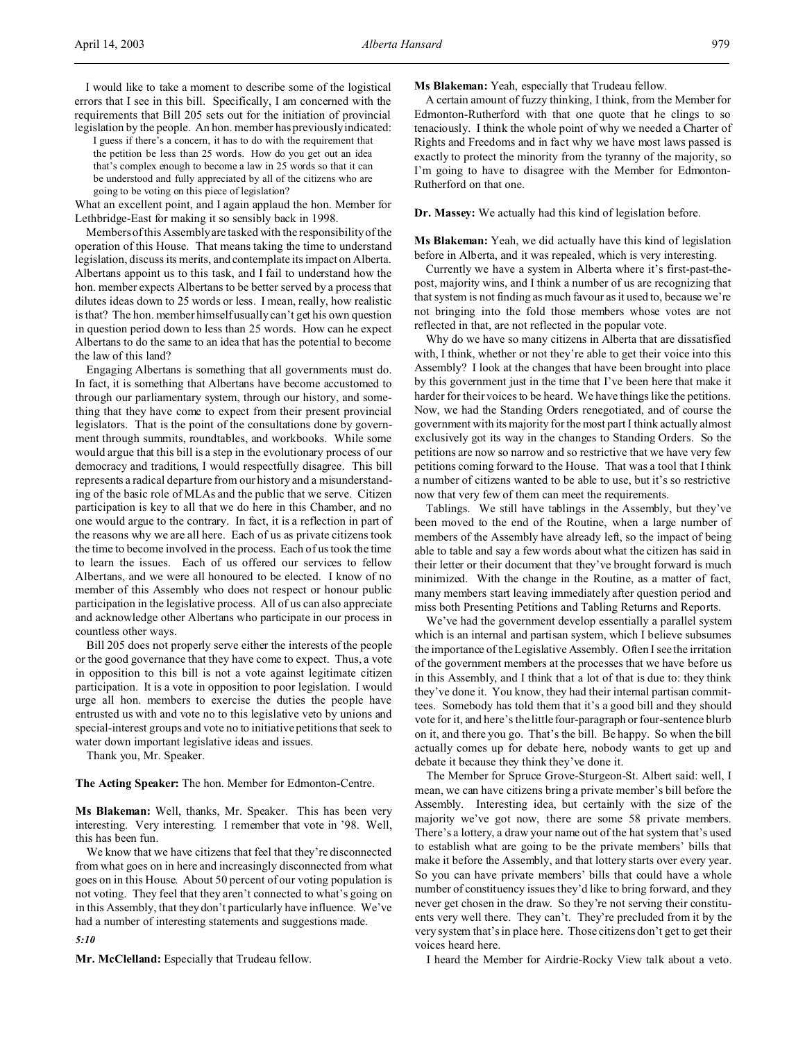I would like to take a moment to describe some of the logistical errors that I see in this bill. Specifically, I am concerned with the requirements that Bill 205 sets out for the initiation of provincial legislation by the people. An hon. member has previously indicated:

I guess if there's a concern, it has to do with the requirement that the petition be less than 25 words. How do you get out an idea that's complex enough to become a law in 25 words so that it can be understood and fully appreciated by all of the citizens who are going to be voting on this piece of legislation?

What an excellent point, and I again applaud the hon. Member for Lethbridge-East for making it so sensibly back in 1998.

Members of this Assembly are tasked with the responsibility of the operation of this House. That means taking the time to understand legislation, discuss its merits, and contemplate its impact on Alberta. Albertans appoint us to this task, and I fail to understand how the hon. member expects Albertans to be better served by a process that dilutes ideas down to 25 words or less. I mean, really, how realistic is that? The hon. member himself usually can't get his own question in question period down to less than 25 words. How can he expect Albertans to do the same to an idea that has the potential to become the law of this land?

Engaging Albertans is something that all governments must do. In fact, it is something that Albertans have become accustomed to through our parliamentary system, through our history, and something that they have come to expect from their present provincial legislators. That is the point of the consultations done by government through summits, roundtables, and workbooks. While some would argue that this bill is a step in the evolutionary process of our democracy and traditions, I would respectfully disagree. This bill represents a radical departure from our history and a misunderstanding of the basic role of MLAs and the public that we serve. Citizen participation is key to all that we do here in this Chamber, and no one would argue to the contrary. In fact, it is a reflection in part of the reasons why we are all here. Each of us as private citizens took the time to become involved in the process. Each of us took the time to learn the issues. Each of us offered our services to fellow Albertans, and we were all honoured to be elected. I know of no member of this Assembly who does not respect or honour public participation in the legislative process. All of us can also appreciate and acknowledge other Albertans who participate in our process in countless other ways.

Bill 205 does not properly serve either the interests of the people or the good governance that they have come to expect. Thus, a vote in opposition to this bill is not a vote against legitimate citizen participation. It is a vote in opposition to poor legislation. I would urge all hon. members to exercise the duties the people have entrusted us with and vote no to this legislative veto by unions and special-interest groups and vote no to initiative petitions that seek to water down important legislative ideas and issues.

Thank you, Mr. Speaker.

**The Acting Speaker:** The hon. Member for Edmonton-Centre.

**Ms Blakeman:** Well, thanks, Mr. Speaker. This has been very interesting. Very interesting. I remember that vote in '98. Well, this has been fun.

We know that we have citizens that feel that they're disconnected from what goes on in here and increasingly disconnected from what goes on in this House. About 50 percent of our voting population is not voting. They feel that they aren't connected to what's going on in this Assembly, that they don't particularly have influence. We've had a number of interesting statements and suggestions made.

#### *5:10*

**Mr. McClelland:** Especially that Trudeau fellow.

**Ms Blakeman:** Yeah, especially that Trudeau fellow.

A certain amount of fuzzy thinking, I think, from the Member for Edmonton-Rutherford with that one quote that he clings to so tenaciously. I think the whole point of why we needed a Charter of Rights and Freedoms and in fact why we have most laws passed is exactly to protect the minority from the tyranny of the majority, so I'm going to have to disagree with the Member for Edmonton-Rutherford on that one.

**Dr. Massey:** We actually had this kind of legislation before.

**Ms Blakeman:** Yeah, we did actually have this kind of legislation before in Alberta, and it was repealed, which is very interesting.

Currently we have a system in Alberta where it's first-past-thepost, majority wins, and I think a number of us are recognizing that that system is not finding as much favour as it used to, because we're not bringing into the fold those members whose votes are not reflected in that, are not reflected in the popular vote.

Why do we have so many citizens in Alberta that are dissatisfied with, I think, whether or not they're able to get their voice into this Assembly? I look at the changes that have been brought into place by this government just in the time that I've been here that make it harder for their voices to be heard. We have things like the petitions. Now, we had the Standing Orders renegotiated, and of course the government with its majority for the most part I think actually almost exclusively got its way in the changes to Standing Orders. So the petitions are now so narrow and so restrictive that we have very few petitions coming forward to the House. That was a tool that I think a number of citizens wanted to be able to use, but it's so restrictive now that very few of them can meet the requirements.

Tablings. We still have tablings in the Assembly, but they've been moved to the end of the Routine, when a large number of members of the Assembly have already left, so the impact of being able to table and say a few words about what the citizen has said in their letter or their document that they've brought forward is much minimized. With the change in the Routine, as a matter of fact, many members start leaving immediately after question period and miss both Presenting Petitions and Tabling Returns and Reports.

We've had the government develop essentially a parallel system which is an internal and partisan system, which I believe subsumes the importance of the Legislative Assembly. Often I see the irritation of the government members at the processes that we have before us in this Assembly, and I think that a lot of that is due to: they think they've done it. You know, they had their internal partisan committees. Somebody has told them that it's a good bill and they should vote for it, and here's the little four-paragraph or four-sentence blurb on it, and there you go. That's the bill. Be happy. So when the bill actually comes up for debate here, nobody wants to get up and debate it because they think they've done it.

The Member for Spruce Grove-Sturgeon-St. Albert said: well, I mean, we can have citizens bring a private member's bill before the Assembly. Interesting idea, but certainly with the size of the majority we've got now, there are some 58 private members. There's a lottery, a draw your name out of the hat system that's used to establish what are going to be the private members' bills that make it before the Assembly, and that lottery starts over every year. So you can have private members' bills that could have a whole number of constituency issues they'd like to bring forward, and they never get chosen in the draw. So they're not serving their constituents very well there. They can't. They're precluded from it by the very system that's in place here. Those citizens don't get to get their voices heard here.

I heard the Member for Airdrie-Rocky View talk about a veto.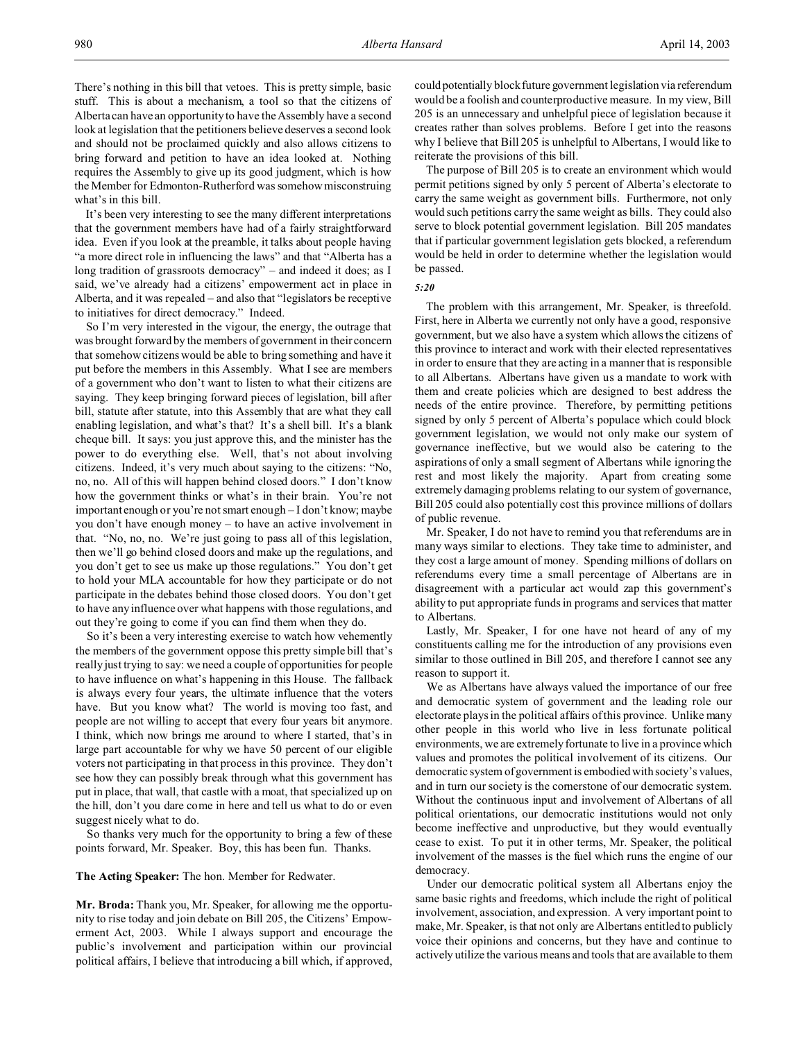There's nothing in this bill that vetoes. This is pretty simple, basic stuff. This is about a mechanism, a tool so that the citizens of Alberta can have an opportunity to have the Assembly have a second look at legislation that the petitioners believe deserves a second look and should not be proclaimed quickly and also allows citizens to bring forward and petition to have an idea looked at. Nothing requires the Assembly to give up its good judgment, which is how the Member for Edmonton-Rutherford was somehow misconstruing what's in this bill.

It's been very interesting to see the many different interpretations that the government members have had of a fairly straightforward idea. Even if you look at the preamble, it talks about people having "a more direct role in influencing the laws" and that "Alberta has a long tradition of grassroots democracy" – and indeed it does; as I said, we've already had a citizens' empowerment act in place in Alberta, and it was repealed – and also that "legislators be receptive to initiatives for direct democracy." Indeed.

So I'm very interested in the vigour, the energy, the outrage that was brought forward by the members of government in their concern that somehow citizens would be able to bring something and have it put before the members in this Assembly. What I see are members of a government who don't want to listen to what their citizens are saying. They keep bringing forward pieces of legislation, bill after bill, statute after statute, into this Assembly that are what they call enabling legislation, and what's that? It's a shell bill. It's a blank cheque bill. It says: you just approve this, and the minister has the power to do everything else. Well, that's not about involving citizens. Indeed, it's very much about saying to the citizens: "No, no, no. All of this will happen behind closed doors." I don't know how the government thinks or what's in their brain. You're not important enough or you're not smart enough – I don't know; maybe you don't have enough money – to have an active involvement in that. "No, no, no. We're just going to pass all of this legislation, then we'll go behind closed doors and make up the regulations, and you don't get to see us make up those regulations." You don't get to hold your MLA accountable for how they participate or do not participate in the debates behind those closed doors. You don't get to have any influence over what happens with those regulations, and out they're going to come if you can find them when they do.

So it's been a very interesting exercise to watch how vehemently the members of the government oppose this pretty simple bill that's really just trying to say: we need a couple of opportunities for people to have influence on what's happening in this House. The fallback is always every four years, the ultimate influence that the voters have. But you know what? The world is moving too fast, and people are not willing to accept that every four years bit anymore. I think, which now brings me around to where I started, that's in large part accountable for why we have 50 percent of our eligible voters not participating in that process in this province. They don't see how they can possibly break through what this government has put in place, that wall, that castle with a moat, that specialized up on the hill, don't you dare come in here and tell us what to do or even suggest nicely what to do.

So thanks very much for the opportunity to bring a few of these points forward, Mr. Speaker. Boy, this has been fun. Thanks.

#### **The Acting Speaker:** The hon. Member for Redwater.

**Mr. Broda:** Thank you, Mr. Speaker, for allowing me the opportunity to rise today and join debate on Bill 205, the Citizens' Empowerment Act, 2003. While I always support and encourage the public's involvement and participation within our provincial political affairs, I believe that introducing a bill which, if approved,

could potentially block future government legislation via referendum would be a foolish and counterproductive measure. In my view, Bill 205 is an unnecessary and unhelpful piece of legislation because it creates rather than solves problems. Before I get into the reasons why I believe that Bill 205 is unhelpful to Albertans, I would like to reiterate the provisions of this bill.

The purpose of Bill 205 is to create an environment which would permit petitions signed by only 5 percent of Alberta's electorate to carry the same weight as government bills. Furthermore, not only would such petitions carry the same weight as bills. They could also serve to block potential government legislation. Bill 205 mandates that if particular government legislation gets blocked, a referendum would be held in order to determine whether the legislation would be passed.

#### *5:20*

The problem with this arrangement, Mr. Speaker, is threefold. First, here in Alberta we currently not only have a good, responsive government, but we also have a system which allows the citizens of this province to interact and work with their elected representatives in order to ensure that they are acting in a manner that is responsible to all Albertans. Albertans have given us a mandate to work with them and create policies which are designed to best address the needs of the entire province. Therefore, by permitting petitions signed by only 5 percent of Alberta's populace which could block government legislation, we would not only make our system of governance ineffective, but we would also be catering to the aspirations of only a small segment of Albertans while ignoring the rest and most likely the majority. Apart from creating some extremely damaging problems relating to our system of governance, Bill 205 could also potentially cost this province millions of dollars of public revenue.

Mr. Speaker, I do not have to remind you that referendums are in many ways similar to elections. They take time to administer, and they cost a large amount of money. Spending millions of dollars on referendums every time a small percentage of Albertans are in disagreement with a particular act would zap this government's ability to put appropriate funds in programs and services that matter to Albertans.

Lastly, Mr. Speaker, I for one have not heard of any of my constituents calling me for the introduction of any provisions even similar to those outlined in Bill 205, and therefore I cannot see any reason to support it.

We as Albertans have always valued the importance of our free and democratic system of government and the leading role our electorate plays in the political affairs of this province. Unlike many other people in this world who live in less fortunate political environments, we are extremely fortunate to live in a province which values and promotes the political involvement of its citizens. Our democratic system of government is embodied with society's values, and in turn our society is the cornerstone of our democratic system. Without the continuous input and involvement of Albertans of all political orientations, our democratic institutions would not only become ineffective and unproductive, but they would eventually cease to exist. To put it in other terms, Mr. Speaker, the political involvement of the masses is the fuel which runs the engine of our democracy.

Under our democratic political system all Albertans enjoy the same basic rights and freedoms, which include the right of political involvement, association, and expression. A very important point to make, Mr. Speaker, is that not only are Albertans entitled to publicly voice their opinions and concerns, but they have and continue to actively utilize the various means and tools that are available to them